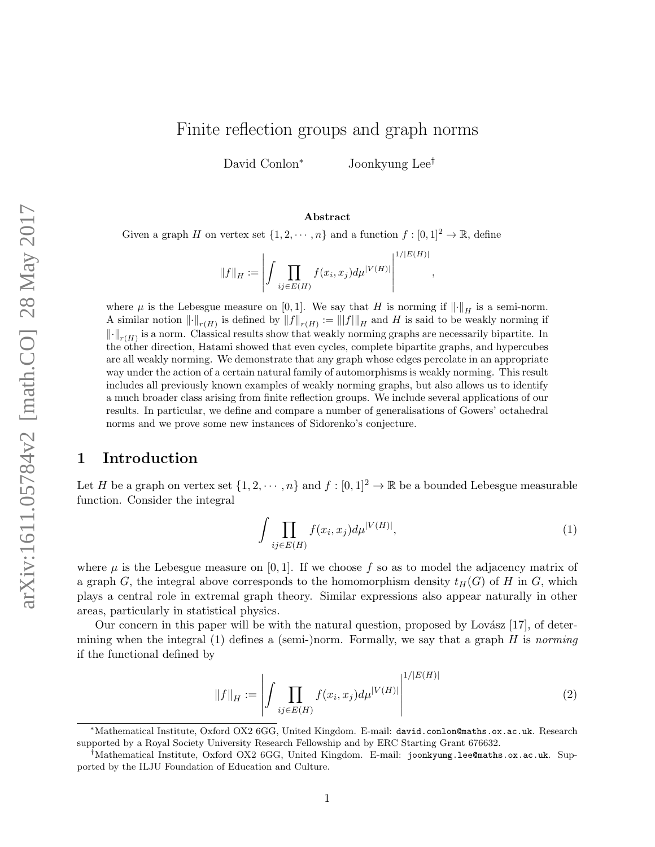# Finite reflection groups and graph norms

David Conlon<sup>∗</sup> Joonkyung Lee†

#### Abstract

Given a graph H on vertex set  $\{1, 2, \dots, n\}$  and a function  $f : [0, 1]^2 \to \mathbb{R}$ , define

 $||f||_H :=$   $\int \Pi$  $ij\in E(H)$  $f(x_i, x_j) d\mu^{|V(H)|}$   $1/|E(H)|$ ,

where  $\mu$  is the Lebesgue measure on [0, 1]. We say that H is norming if  $\|\cdot\|_H$  is a semi-norm. A similar notion  $\lVert \cdot \rVert_{r(H)}$  is defined by  $\lVert f \rVert_{r(H)} := \lVert \lVert f \rVert_H$  and H is said to be weakly norming if  $\left\|\cdot\right\|_{r(H)}$  is a norm. Classical results show that weakly norming graphs are necessarily bipartite. In the other direction, Hatami showed that even cycles, complete bipartite graphs, and hypercubes are all weakly norming. We demonstrate that any graph whose edges percolate in an appropriate way under the action of a certain natural family of automorphisms is weakly norming. This result includes all previously known examples of weakly norming graphs, but also allows us to identify a much broader class arising from finite reflection groups. We include several applications of our results. In particular, we define and compare a number of generalisations of Gowers' octahedral norms and we prove some new instances of Sidorenko's conjecture.

# 1 Introduction

Let H be a graph on vertex set  $\{1, 2, \dots, n\}$  and  $f : [0, 1]^2 \to \mathbb{R}$  be a bounded Lebesgue measurable function. Consider the integral

<span id="page-0-1"></span><span id="page-0-0"></span>
$$
\int \prod_{ij \in E(H)} f(x_i, x_j) d\mu^{|V(H)|}, \tag{1}
$$

where  $\mu$  is the Lebesgue measure on [0, 1]. If we choose f so as to model the adjacency matrix of a graph G, the integral above corresponds to the homomorphism density  $t_H(G)$  of H in G, which plays a central role in extremal graph theory. Similar expressions also appear naturally in other areas, particularly in statistical physics.

Our concern in this paper will be with the natural question, proposed by Lovász  $[17]$ , of deter-mining when the integral [\(1\)](#page-0-0) defines a (semi-)norm. Formally, we say that a graph  $H$  is norming if the functional defined by

$$
||f||_H := \left| \int \prod_{ij \in E(H)} f(x_i, x_j) d\mu^{|V(H)|} \right|^{1/|E(H)|}
$$
(2)

<sup>∗</sup>Mathematical Institute, Oxford OX2 6GG, United Kingdom. E-mail: david.conlon@maths.ox.ac.uk. Research supported by a Royal Society University Research Fellowship and by ERC Starting Grant 676632.

<sup>†</sup>Mathematical Institute, Oxford OX2 6GG, United Kingdom. E-mail: joonkyung.lee@maths.ox.ac.uk. Supported by the ILJU Foundation of Education and Culture.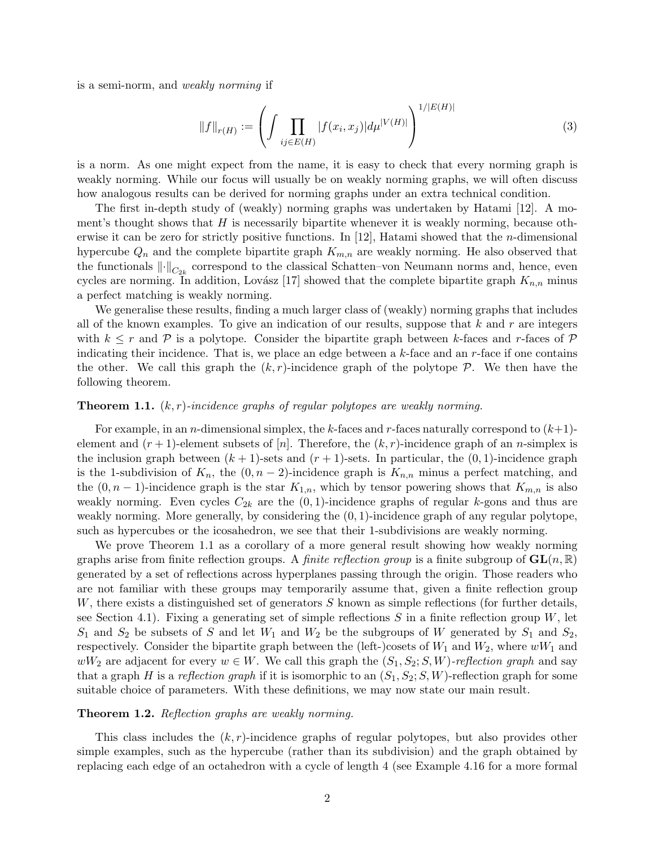is a semi-norm, and weakly norming if

<span id="page-1-1"></span>
$$
||f||_{r(H)} := \left(\int \prod_{ij \in E(H)} |f(x_i, x_j)| d\mu^{|V(H)|} \right)^{1/|E(H)|}
$$
(3)

is a norm. As one might expect from the name, it is easy to check that every norming graph is weakly norming. While our focus will usually be on weakly norming graphs, we will often discuss how analogous results can be derived for norming graphs under an extra technical condition.

The first in-depth study of (weakly) norming graphs was undertaken by Hatami [\[12\]](#page-27-1). A moment's thought shows that  $H$  is necessarily bipartite whenever it is weakly norming, because otherwise it can be zero for strictly positive functions. In [\[12\]](#page-27-1), Hatami showed that the n-dimensional hypercube  $Q_n$  and the complete bipartite graph  $K_{m,n}$  are weakly norming. He also observed that the functionals  $\lVert \cdot \rVert_{C_{2k}}$  correspond to the classical Schatten–von Neumann norms and, hence, even cycles are norming. In addition, Lovász [\[17\]](#page-27-0) showed that the complete bipartite graph  $K_{n,n}$  minus a perfect matching is weakly norming.

We generalise these results, finding a much larger class of (weakly) norming graphs that includes all of the known examples. To give an indication of our results, suppose that  $k$  and  $r$  are integers with  $k \leq r$  and P is a polytope. Consider the bipartite graph between k-faces and r-faces of P indicating their incidence. That is, we place an edge between a  $k$ -face and an  $r$ -face if one contains the other. We call this graph the  $(k, r)$ -incidence graph of the polytope  $\mathcal{P}$ . We then have the following theorem.

#### <span id="page-1-0"></span>**Theorem 1.1.**  $(k, r)$ -incidence graphs of regular polytopes are weakly norming.

For example, in an *n*-dimensional simplex, the k-faces and r-faces naturally correspond to  $(k+1)$ element and  $(r + 1)$ -element subsets of [n]. Therefore, the  $(k, r)$ -incidence graph of an n-simplex is the inclusion graph between  $(k + 1)$ -sets and  $(r + 1)$ -sets. In particular, the  $(0, 1)$ -incidence graph is the 1-subdivision of  $K_n$ , the  $(0, n-2)$ -incidence graph is  $K_{n,n}$  minus a perfect matching, and the  $(0, n-1)$ -incidence graph is the star  $K_{1,n}$ , which by tensor powering shows that  $K_{m,n}$  is also weakly norming. Even cycles  $C_{2k}$  are the  $(0, 1)$ -incidence graphs of regular k-gons and thus are weakly norming. More generally, by considering the  $(0, 1)$ -incidence graph of any regular polytope, such as hypercubes or the icosahedron, we see that their 1-subdivisions are weakly norming.

We prove Theorem [1.1](#page-1-0) as a corollary of a more general result showing how weakly norming graphs arise from finite reflection groups. A *finite reflection group* is a finite subgroup of  $GL(n, \mathbb{R})$ generated by a set of reflections across hyperplanes passing through the origin. Those readers who are not familiar with these groups may temporarily assume that, given a finite reflection group W, there exists a distinguished set of generators  $S$  known as simple reflections (for further details, see Section [4.1\)](#page-8-0). Fixing a generating set of simple reflections S in a finite reflection group  $W$ , let  $S_1$  and  $S_2$  be subsets of S and let  $W_1$  and  $W_2$  be the subgroups of W generated by  $S_1$  and  $S_2$ , respectively. Consider the bipartite graph between the (left-)cosets of  $W_1$  and  $W_2$ , where  $wW_1$  and  $wW_2$  are adjacent for every  $w \in W$ . We call this graph the  $(S_1, S_2; S, W)$ -reflection graph and say that a graph H is a reflection graph if it is isomorphic to an  $(S_1, S_2; S, W)$ -reflection graph for some suitable choice of parameters. With these definitions, we may now state our main result.

#### <span id="page-1-2"></span>Theorem 1.2. Reflection graphs are weakly norming.

This class includes the  $(k, r)$ -incidence graphs of regular polytopes, but also provides other simple examples, such as the hypercube (rather than its subdivision) and the graph obtained by replacing each edge of an octahedron with a cycle of length 4 (see Example [4.16](#page-16-0) for a more formal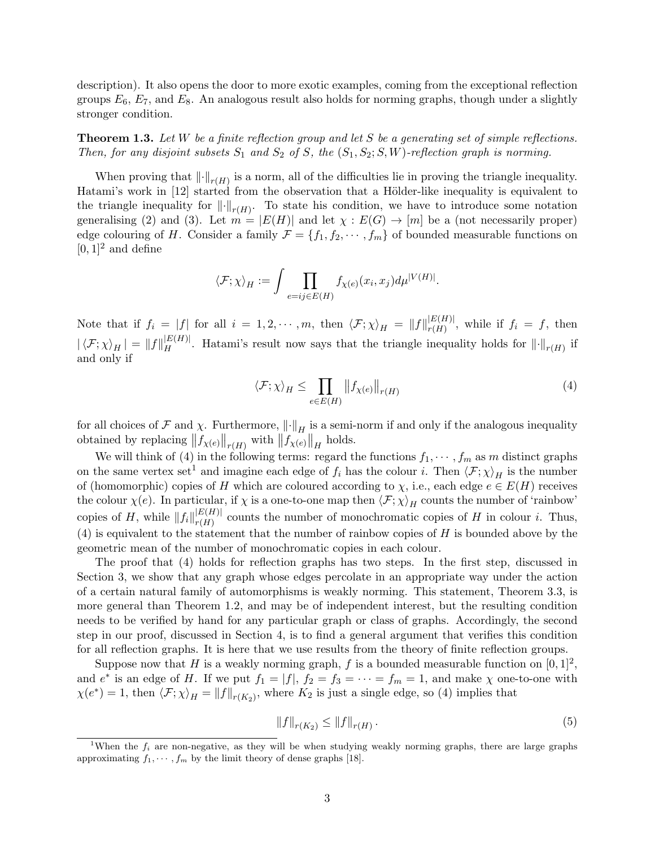description). It also opens the door to more exotic examples, coming from the exceptional reflection groups  $E_6$ ,  $E_7$ , and  $E_8$ . An analogous result also holds for norming graphs, though under a slightly stronger condition.

<span id="page-2-3"></span>**Theorem 1.3.** Let W be a finite reflection group and let S be a generating set of simple reflections. Then, for any disjoint subsets  $S_1$  and  $S_2$  of S, the  $(S_1, S_2; S, W)$ -reflection graph is norming.

When proving that  $\lVert \cdot \rVert_{r(H)}$  is a norm, all of the difficulties lie in proving the triangle inequality. Hatami's work in [\[12\]](#page-27-1) started from the observation that a Hölder-like inequality is equivalent to the triangle inequality for  $\left\| \cdot \right\|_{r(H)}$ . To state his condition, we have to introduce some notation generalising [\(2\)](#page-0-1) and [\(3\)](#page-1-1). Let  $m = |E(H)|$  and let  $\chi : E(G) \to [m]$  be a (not necessarily proper) edge colouring of H. Consider a family  $\mathcal{F} = \{f_1, f_2, \dots, f_m\}$  of bounded measurable functions on  $[0, 1]^2$  and define

$$
\langle \mathcal{F}; \chi \rangle_H := \int \prod_{e = ij \in E(H)} f_{\chi(e)}(x_i, x_j) d\mu^{|V(H)|}.
$$

Note that if  $f_i = |f|$  for all  $i = 1, 2, \cdots, m$ , then  $\langle \mathcal{F}; \chi \rangle_H = ||f||_{r(H)}^{|E(H)|}$  $r(H)$ , while if  $f_i = f$ , then  $|\langle \mathcal{F}; \chi \rangle_H| = ||f||_H^{|E(H)|}$ . Hatami's result now says that the triangle inequality holds for  $||\cdot||_{r(H)}$  if and only if

<span id="page-2-0"></span>
$$
\langle \mathcal{F}; \chi \rangle_H \le \prod_{e \in E(H)} \left\| f_{\chi(e)} \right\|_{r(H)} \tag{4}
$$

for all choices of F and  $\chi$ . Furthermore,  $\left\|\cdot\right\|_H$  is a semi-norm if and only if the analogous inequality obtained by replacing  $||f_{\chi(e)}||_{r(H)}$  with  $||f_{\chi(e)}||_{H}$  holds.

We will think of [\(4\)](#page-2-0) in the following terms: regard the functions  $f_1, \dots, f_m$  as m distinct graphs on the same vertex set<sup>[1](#page-2-1)</sup> and imagine each edge of  $f_i$  has the colour i. Then  $\langle \mathcal{F}; \chi \rangle_H$  is the number of (homomorphic) copies of H which are coloured according to  $\chi$ , i.e., each edge  $e \in E(H)$  receives the colour  $\chi(e)$ . In particular, if  $\chi$  is a one-to-one map then  $\langle \mathcal{F}; \chi \rangle_H$  counts the number of 'rainbow' copies of H, while  $||f_i||_{r(H)}^{|E(H)|}$  $r(H)$  counts the number of monochromatic copies of H in colour *i*. Thus,  $(4)$  is equivalent to the statement that the number of rainbow copies of H is bounded above by the geometric mean of the number of monochromatic copies in each colour.

The proof that [\(4\)](#page-2-0) holds for reflection graphs has two steps. In the first step, discussed in Section [3,](#page-5-0) we show that any graph whose edges percolate in an appropriate way under the action of a certain natural family of automorphisms is weakly norming. This statement, Theorem [3.3,](#page-8-1) is more general than Theorem [1.2,](#page-1-2) and may be of independent interest, but the resulting condition needs to be verified by hand for any particular graph or class of graphs. Accordingly, the second step in our proof, discussed in Section [4,](#page-8-2) is to find a general argument that verifies this condition for all reflection graphs. It is here that we use results from the theory of finite reflection groups.

Suppose now that H is a weakly norming graph, f is a bounded measurable function on  $[0,1]^2$ , and  $e^*$  is an edge of H. If we put  $f_1 = |f|$ ,  $f_2 = f_3 = \cdots = f_m = 1$ , and make  $\chi$  one-to-one with  $\chi(e^*) = 1$ , then  $\langle \mathcal{F}; \chi \rangle_H = ||f||_{r(K_2)}$ , where  $K_2$  is just a single edge, so [\(4\)](#page-2-0) implies that

<span id="page-2-2"></span>
$$
||f||_{r(K_2)} \le ||f||_{r(H)}.
$$
\n(5)

<span id="page-2-1"></span><sup>&</sup>lt;sup>1</sup>When the  $f_i$  are non-negative, as they will be when studying weakly norming graphs, there are large graphs approximating  $f_1, \dots, f_m$  by the limit theory of dense graphs [\[18\]](#page-27-2).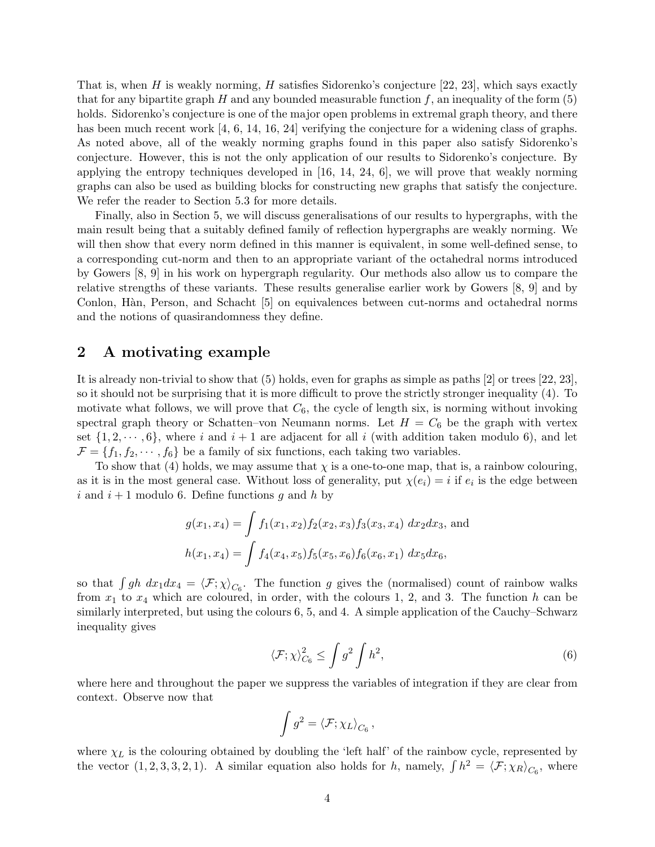That is, when H is weakly norming, H satisfies Sidorenko's conjecture  $[22, 23]$  $[22, 23]$ , which says exactly that for any bipartite graph H and any bounded measurable function  $f$ , an inequality of the form [\(5\)](#page-2-2) holds. Sidorenko's conjecture is one of the major open problems in extremal graph theory, and there has been much recent work [\[4,](#page-27-3) [6,](#page-27-4) [14,](#page-27-5) [16,](#page-27-6) [24\]](#page-28-2) verifying the conjecture for a widening class of graphs. As noted above, all of the weakly norming graphs found in this paper also satisfy Sidorenko's conjecture. However, this is not the only application of our results to Sidorenko's conjecture. By applying the entropy techniques developed in  $[16, 14, 24, 6]$  $[16, 14, 24, 6]$  $[16, 14, 24, 6]$  $[16, 14, 24, 6]$ , we will prove that weakly norming graphs can also be used as building blocks for constructing new graphs that satisfy the conjecture. We refer the reader to Section [5.3](#page-23-0) for more details.

Finally, also in Section [5,](#page-16-1) we will discuss generalisations of our results to hypergraphs, with the main result being that a suitably defined family of reflection hypergraphs are weakly norming. We will then show that every norm defined in this manner is equivalent, in some well-defined sense, to a corresponding cut-norm and then to an appropriate variant of the octahedral norms introduced by Gowers [\[8,](#page-27-7) [9\]](#page-27-8) in his work on hypergraph regularity. Our methods also allow us to compare the relative strengths of these variants. These results generalise earlier work by Gowers [\[8,](#page-27-7) [9\]](#page-27-8) and by Conlon, H`an, Person, and Schacht [\[5\]](#page-27-9) on equivalences between cut-norms and octahedral norms and the notions of quasirandomness they define.

# <span id="page-3-1"></span>2 A motivating example

It is already non-trivial to show that [\(5\)](#page-2-2) holds, even for graphs as simple as paths [\[2\]](#page-27-10) or trees [\[22,](#page-28-0) [23\]](#page-28-1), so it should not be surprising that it is more difficult to prove the strictly stronger inequality [\(4\)](#page-2-0). To motivate what follows, we will prove that  $C_6$ , the cycle of length six, is norming without invoking spectral graph theory or Schatten–von Neumann norms. Let  $H = C_6$  be the graph with vertex set  $\{1, 2, \dots, 6\}$ , where i and  $i + 1$  are adjacent for all i (with addition taken modulo 6), and let  $\mathcal{F} = \{f_1, f_2, \cdots, f_6\}$  be a family of six functions, each taking two variables.

To show that [\(4\)](#page-2-0) holds, we may assume that  $\chi$  is a one-to-one map, that is, a rainbow colouring, as it is in the most general case. Without loss of generality, put  $\chi(e_i) = i$  if  $e_i$  is the edge between i and  $i+1$  modulo 6. Define functions g and h by

$$
g(x_1, x_4) = \int f_1(x_1, x_2) f_2(x_2, x_3) f_3(x_3, x_4) dx_2 dx_3
$$
, and  

$$
h(x_1, x_4) = \int f_4(x_4, x_5) f_5(x_5, x_6) f_6(x_6, x_1) dx_5 dx_6
$$
,

so that  $\int gh \, dx_1 dx_4 = \langle F; \chi \rangle_{C_6}$ . The function g gives the (normalised) count of rainbow walks from  $x_1$  to  $x_4$  which are coloured, in order, with the colours 1, 2, and 3. The function h can be similarly interpreted, but using the colours 6, 5, and 4. A simple application of the Cauchy–Schwarz inequality gives

$$
\langle \mathcal{F}; \chi \rangle_{C_6}^2 \le \int g^2 \int h^2,\tag{6}
$$

where here and throughout the paper we suppress the variables of integration if they are clear from context. Observe now that

<span id="page-3-0"></span>
$$
\int g^2 = \langle \mathcal{F}; \chi_L \rangle_{C_6},
$$

where  $\chi_L$  is the colouring obtained by doubling the 'left half' of the rainbow cycle, represented by the vector  $(1, 2, 3, 3, 2, 1)$ . A similar equation also holds for h, namely,  $\int h^2 = \langle F; \chi_R \rangle_{C_6}$ , where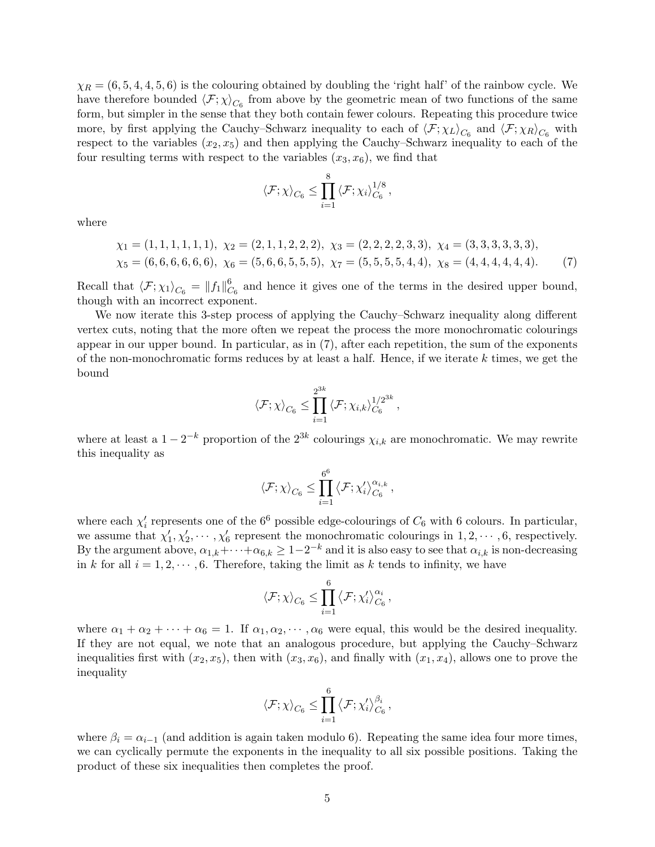$\chi_R = (6, 5, 4, 4, 5, 6)$  is the colouring obtained by doubling the 'right half' of the rainbow cycle. We have therefore bounded  $\langle \mathcal{F}; \chi \rangle_{C_6}$  from above by the geometric mean of two functions of the same form, but simpler in the sense that they both contain fewer colours. Repeating this procedure twice more, by first applying the Cauchy–Schwarz inequality to each of  $\langle F; \chi_L \rangle_{C_6}$  and  $\langle F; \chi_R \rangle_{C_6}$  with respect to the variables  $(x_2, x_5)$  and then applying the Cauchy–Schwarz inequality to each of the four resulting terms with respect to the variables  $(x_3, x_6)$ , we find that

<span id="page-4-0"></span>
$$
\langle \mathcal{F}; \chi \rangle_{C_6} \leq \prod_{i=1}^8 \langle \mathcal{F}; \chi_i \rangle_{C_6}^{1/8},
$$

where

$$
\chi_1 = (1, 1, 1, 1, 1, 1), \ \chi_2 = (2, 1, 1, 2, 2, 2), \ \chi_3 = (2, 2, 2, 2, 3, 3), \ \chi_4 = (3, 3, 3, 3, 3, 3), \n\chi_5 = (6, 6, 6, 6, 6, 6), \ \chi_6 = (5, 6, 6, 5, 5, 5), \ \chi_7 = (5, 5, 5, 5, 4, 4), \ \chi_8 = (4, 4, 4, 4, 4, 4). \tag{7}
$$

Recall that  $\langle \mathcal{F}; \chi_1 \rangle_{C_6} = ||f_1||_C^6$  $C_6$  and hence it gives one of the terms in the desired upper bound, though with an incorrect exponent.

We now iterate this 3-step process of applying the Cauchy–Schwarz inequality along different vertex cuts, noting that the more often we repeat the process the more monochromatic colourings appear in our upper bound. In particular, as in [\(7\)](#page-4-0), after each repetition, the sum of the exponents of the non-monochromatic forms reduces by at least a half. Hence, if we iterate  $k$  times, we get the bound

$$
\left\langle \mathcal{F};\chi\right\rangle_{C_6} \leq \prod_{i=1}^{2^{3k}}\left\langle \mathcal{F};\chi_{i,k}\right\rangle_{C_6}^{1/2^{3k}} ,
$$

where at least a  $1 - 2^{-k}$  proportion of the  $2^{3k}$  colourings  $\chi_{i,k}$  are monochromatic. We may rewrite this inequality as

$$
\left\langle \mathcal{F};\chi\right\rangle_{C_6} \leq \prod_{i=1}^{6^6}\left\langle \mathcal{F};\chi'_i\right\rangle_{C_6}^{\alpha_{i,k}},
$$

where each  $\chi'_{i}$  represents one of the 6<sup>6</sup> possible edge-colourings of  $C_6$  with 6 colours. In particular, we assume that  $\chi'_1, \chi'_2, \cdots, \chi'_6$  represent the monochromatic colourings in  $1, 2, \cdots, 6$ , respectively. By the argument above,  $\alpha_{1,k} + \cdots + \alpha_{6,k} \geq 1-2^{-k}$  and it is also easy to see that  $\alpha_{i,k}$  is non-decreasing in k for all  $i = 1, 2, \dots, 6$ . Therefore, taking the limit as k tends to infinity, we have

$$
\langle \mathcal{F}; \chi \rangle_{C_6} \leq \prod_{i=1}^6 \left\langle \mathcal{F}; \chi'_i \right\rangle_{C_6}^{\alpha_i},
$$

where  $\alpha_1 + \alpha_2 + \cdots + \alpha_6 = 1$ . If  $\alpha_1, \alpha_2, \cdots, \alpha_6$  were equal, this would be the desired inequality. If they are not equal, we note that an analogous procedure, but applying the Cauchy–Schwarz inequalities first with  $(x_2, x_5)$ , then with  $(x_3, x_6)$ , and finally with  $(x_1, x_4)$ , allows one to prove the inequality

$$
\langle \mathcal{F}; \chi \rangle_{C_6} \leq \prod_{i=1}^6 \left\langle \mathcal{F}; \chi'_i \right\rangle_{C_6}^{\beta_i},
$$

where  $\beta_i = \alpha_{i-1}$  (and addition is again taken modulo 6). Repeating the same idea four more times, we can cyclically permute the exponents in the inequality to all six possible positions. Taking the product of these six inequalities then completes the proof.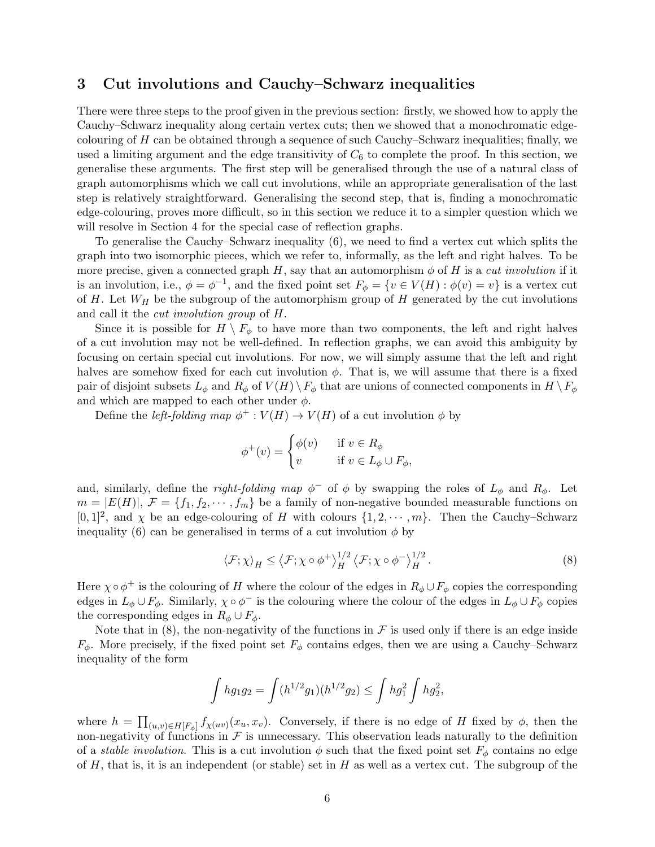### <span id="page-5-0"></span>3 Cut involutions and Cauchy–Schwarz inequalities

There were three steps to the proof given in the previous section: firstly, we showed how to apply the Cauchy–Schwarz inequality along certain vertex cuts; then we showed that a monochromatic edgecolouring of  $H$  can be obtained through a sequence of such Cauchy–Schwarz inequalities; finally, we used a limiting argument and the edge transitivity of  $C_6$  to complete the proof. In this section, we generalise these arguments. The first step will be generalised through the use of a natural class of graph automorphisms which we call cut involutions, while an appropriate generalisation of the last step is relatively straightforward. Generalising the second step, that is, finding a monochromatic edge-colouring, proves more difficult, so in this section we reduce it to a simpler question which we will resolve in Section [4](#page-8-2) for the special case of reflection graphs.

To generalise the Cauchy–Schwarz inequality [\(6\)](#page-3-0), we need to find a vertex cut which splits the graph into two isomorphic pieces, which we refer to, informally, as the left and right halves. To be more precise, given a connected graph  $H$ , say that an automorphism  $\phi$  of H is a *cut involution* if it is an involution, i.e.,  $\phi = \phi^{-1}$ , and the fixed point set  $F_{\phi} = \{v \in V(H) : \phi(v) = v\}$  is a vertex cut of H. Let  $W_H$  be the subgroup of the automorphism group of H generated by the cut involutions and call it the cut involution group of H.

Since it is possible for  $H \setminus F_{\phi}$  to have more than two components, the left and right halves of a cut involution may not be well-defined. In reflection graphs, we can avoid this ambiguity by focusing on certain special cut involutions. For now, we will simply assume that the left and right halves are somehow fixed for each cut involution  $\phi$ . That is, we will assume that there is a fixed pair of disjoint subsets  $L_{\phi}$  and  $R_{\phi}$  of  $V(H) \setminus F_{\phi}$  that are unions of connected components in  $H \setminus F_{\phi}$ and which are mapped to each other under  $\phi$ .

Define the *left-folding map*  $\phi^+ : V(H) \to V(H)$  of a cut involution  $\phi$  by

$$
\phi^+(v) = \begin{cases} \phi(v) & \text{if } v \in R_\phi \\ v & \text{if } v \in L_\phi \cup F_\phi, \end{cases}
$$

and, similarly, define the *right-folding map*  $\phi^-$  of  $\phi$  by swapping the roles of  $L_{\phi}$  and  $R_{\phi}$ . Let  $m = |E(H)|$ ,  $\mathcal{F} = \{f_1, f_2, \cdots, f_m\}$  be a family of non-negative bounded measurable functions on  $[0,1]^2$ , and  $\chi$  be an edge-colouring of H with colours  $\{1, 2, \cdots, m\}$ . Then the Cauchy–Schwarz inequality [\(6\)](#page-3-0) can be generalised in terms of a cut involution  $\phi$  by

<span id="page-5-1"></span>
$$
\langle \mathcal{F}; \chi \rangle_H \leq \langle \mathcal{F}; \chi \circ \phi^+ \rangle_H^{1/2} \langle \mathcal{F}; \chi \circ \phi^- \rangle_H^{1/2} . \tag{8}
$$

Here  $\chi \circ \phi^+$  is the colouring of H where the colour of the edges in  $R_\phi \cup F_\phi$  copies the corresponding edges in  $L_{\phi} \cup F_{\phi}$ . Similarly,  $\chi \circ \phi^{-1}$  is the colouring where the colour of the edges in  $L_{\phi} \cup F_{\phi}$  copies the corresponding edges in  $R_{\phi} \cup F_{\phi}$ .

Note that in [\(8\)](#page-5-1), the non-negativity of the functions in  $\mathcal F$  is used only if there is an edge inside  $F_{\phi}$ . More precisely, if the fixed point set  $F_{\phi}$  contains edges, then we are using a Cauchy–Schwarz inequality of the form

$$
\int hg_1g_2 = \int (h^{1/2}g_1)(h^{1/2}g_2) \le \int hg_1^2 \int hg_2^2,
$$

where  $h = \prod_{(u,v)\in H[F_{\phi}]} f_{\chi(uv)}(x_u, x_v)$ . Conversely, if there is no edge of H fixed by  $\phi$ , then the non-negativity of functions in  $\mathcal F$  is unnecessary. This observation leads naturally to the definition of a *stable involution*. This is a cut involution  $\phi$  such that the fixed point set  $F_{\phi}$  contains no edge of  $H$ , that is, it is an independent (or stable) set in  $H$  as well as a vertex cut. The subgroup of the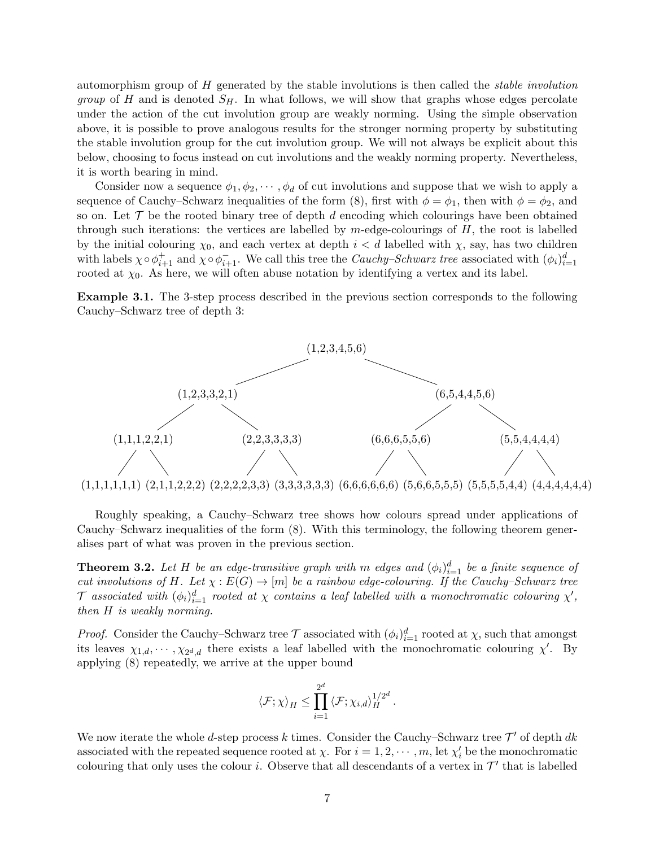automorphism group of H generated by the stable involutions is then called the stable involution *group* of H and is denoted  $S_H$ . In what follows, we will show that graphs whose edges percolate under the action of the cut involution group are weakly norming. Using the simple observation above, it is possible to prove analogous results for the stronger norming property by substituting the stable involution group for the cut involution group. We will not always be explicit about this below, choosing to focus instead on cut involutions and the weakly norming property. Nevertheless, it is worth bearing in mind.

Consider now a sequence  $\phi_1, \phi_2, \cdots, \phi_d$  of cut involutions and suppose that we wish to apply a sequence of Cauchy–Schwarz inequalities of the form [\(8\)](#page-5-1), first with  $\phi = \phi_1$ , then with  $\phi = \phi_2$ , and so on. Let  $\mathcal T$  be the rooted binary tree of depth d encoding which colourings have been obtained through such iterations: the vertices are labelled by  $m$ -edge-colourings of  $H$ , the root is labelled by the initial colouring  $\chi_0$ , and each vertex at depth  $i < d$  labelled with  $\chi$ , say, has two children with labels  $\chi \circ \phi_{i+1}^+$  and  $\chi \circ \phi_{i+1}^-$ . We call this tree the *Cauchy–Schwarz tree* associated with  $(\phi_i)_{i=1}^d$ rooted at  $\chi_0$ . As here, we will often abuse notation by identifying a vertex and its label.

Example 3.1. The 3-step process described in the previous section corresponds to the following Cauchy–Schwarz tree of depth 3:



Roughly speaking, a Cauchy–Schwarz tree shows how colours spread under applications of Cauchy–Schwarz inequalities of the form [\(8\)](#page-5-1). With this terminology, the following theorem generalises part of what was proven in the previous section.

<span id="page-6-0"></span>**Theorem 3.2.** Let H be an edge-transitive graph with m edges and  $(\phi_i)_{i=1}^d$  be a finite sequence of cut involutions of H. Let  $\chi : E(G) \to [m]$  be a rainbow edge-colouring. If the Cauchy–Schwarz tree  ${\cal T}$  associated with  $(\phi_i)_{i=1}^d$  rooted at  $\chi$  contains a leaf labelled with a monochromatic colouring  $\chi',$ then H is weakly norming.

*Proof.* Consider the Cauchy–Schwarz tree  $\mathcal T$  associated with  $(\phi_i)_{i=1}^d$  rooted at  $\chi$ , such that amongst its leaves  $\chi_{1,d}, \cdots, \chi_{2^d,d}$  there exists a leaf labelled with the monochromatic colouring  $\chi'$ . By applying [\(8\)](#page-5-1) repeatedly, we arrive at the upper bound

$$
\langle \mathcal{F}; \chi \rangle_H \leq \prod_{i=1}^{2^d} \langle \mathcal{F}; \chi_{i,d} \rangle_H^{1/2^d}.
$$

We now iterate the whole d-step process k times. Consider the Cauchy–Schwarz tree  $\mathcal{T}'$  of depth dk associated with the repeated sequence rooted at  $\chi$ . For  $i = 1, 2, \cdots, m$ , let  $\chi'_{i}$  be the monochromatic colouring that only uses the colour *i*. Observe that all descendants of a vertex in  $\mathcal{T}'$  that is labelled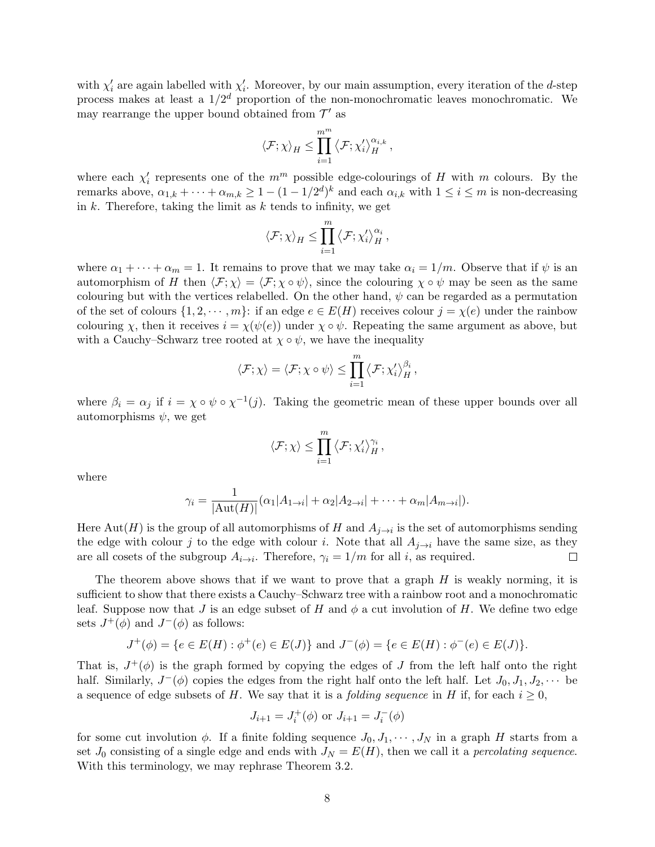with  $\chi'_{i}$  are again labelled with  $\chi'_{i}$ . Moreover, by our main assumption, every iteration of the d-step process makes at least a  $1/2<sup>d</sup>$  proportion of the non-monochromatic leaves monochromatic. We may rearrange the upper bound obtained from  $\mathcal{T}'$  as

$$
\left\langle \mathcal{F};\chi\right\rangle_H\leq \prod_{i=1}^{m^m}\left\langle \mathcal{F};\chi_i'\right\rangle_H^{\alpha_{i,k}},
$$

where each  $\chi'_{i}$  represents one of the  $m^{m}$  possible edge-colourings of H with m colours. By the remarks above,  $\alpha_{1,k} + \cdots + \alpha_{m,k} \geq 1 - (1 - 1/2^d)^k$  and each  $\alpha_{i,k}$  with  $1 \leq i \leq m$  is non-decreasing in  $k$ . Therefore, taking the limit as  $k$  tends to infinity, we get

$$
\left\langle \mathcal{F};\chi\right\rangle_H\leq \prod_{i=1}^m\left\langle \mathcal{F};\chi_i'\right\rangle_H^{\alpha_i}
$$

,

where  $\alpha_1 + \cdots + \alpha_m = 1$ . It remains to prove that we may take  $\alpha_i = 1/m$ . Observe that if  $\psi$  is an automorphism of H then  $\langle \mathcal{F}; \chi \rangle = \langle \mathcal{F}; \chi \circ \psi \rangle$ , since the colouring  $\chi \circ \psi$  may be seen as the same colouring but with the vertices relabelled. On the other hand,  $\psi$  can be regarded as a permutation of the set of colours  $\{1, 2, \dots, m\}$ : if an edge  $e \in E(H)$  receives colour  $j = \chi(e)$  under the rainbow colouring x, then it receives  $i = \chi(\psi(e))$  under  $\chi \circ \psi$ . Repeating the same argument as above, but with a Cauchy–Schwarz tree rooted at  $\chi \circ \psi$ , we have the inequality

$$
\langle \mathcal{F}; \chi \rangle = \langle \mathcal{F}; \chi \circ \psi \rangle \leq \prod_{i=1}^{m} \langle \mathcal{F}; \chi'_{i} \rangle_{H}^{\beta_{i}},
$$

where  $\beta_i = \alpha_j$  if  $i = \chi \circ \psi \circ \chi^{-1}(j)$ . Taking the geometric mean of these upper bounds over all automorphisms  $\psi$ , we get

$$
\langle \mathcal{F}; \chi \rangle \leq \prod_{i=1}^m \langle \mathcal{F}; \chi'_i \rangle_H^{\gamma_i},
$$

where

$$
\gamma_i = \frac{1}{|\text{Aut}(H)|} (\alpha_1 |A_{1\to i}| + \alpha_2 |A_{2\to i}| + \dots + \alpha_m |A_{m\to i}|).
$$

Here  $\mathrm{Aut}(H)$  is the group of all automorphisms of  $H$  and  $A_{j\rightarrow i}$  is the set of automorphisms sending the edge with colour j to the edge with colour i. Note that all  $A_{j\rightarrow i}$  have the same size, as they are all cosets of the subgroup  $A_{i\rightarrow i}$ . Therefore,  $\gamma_i = 1/m$  for all i, as required.  $\Box$ 

The theorem above shows that if we want to prove that a graph  $H$  is weakly norming, it is sufficient to show that there exists a Cauchy–Schwarz tree with a rainbow root and a monochromatic leaf. Suppose now that J is an edge subset of H and  $\phi$  a cut involution of H. We define two edge sets  $J^+(\phi)$  and  $J^-(\phi)$  as follows:

$$
J^+(\phi) = \{ e \in E(H) : \phi^+(e) \in E(J) \} \text{ and } J^-(\phi) = \{ e \in E(H) : \phi^-(e) \in E(J) \}.
$$

That is,  $J^+(\phi)$  is the graph formed by copying the edges of J from the left half onto the right half. Similarly,  $J^-(\phi)$  copies the edges from the right half onto the left half. Let  $J_0, J_1, J_2, \cdots$  be a sequence of edge subsets of H. We say that it is a *folding sequence* in H if, for each  $i \geq 0$ ,

$$
J_{i+1} = J_i^+(\phi)
$$
 or  $J_{i+1} = J_i^-(\phi)$ 

for some cut involution  $\phi$ . If a finite folding sequence  $J_0, J_1, \cdots, J_N$  in a graph H starts from a set  $J_0$  consisting of a single edge and ends with  $J_N = E(H)$ , then we call it a percolating sequence. With this terminology, we may rephrase Theorem [3.2.](#page-6-0)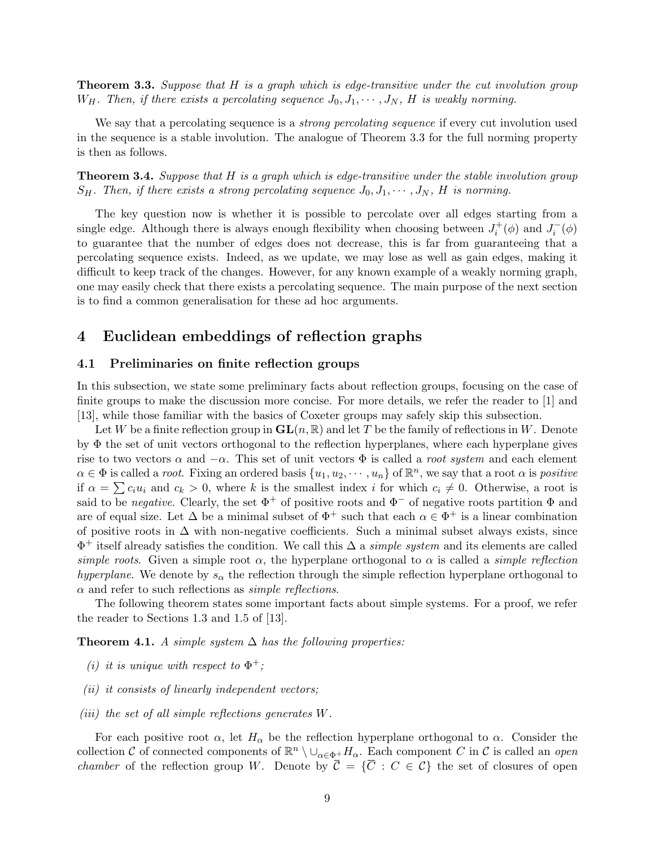<span id="page-8-1"></span>**Theorem 3.3.** Suppose that H is a graph which is edge-transitive under the cut involution group  $W_H$ . Then, if there exists a percolating sequence  $J_0, J_1, \cdots, J_N$ , H is weakly norming.

We say that a percolating sequence is a *strong percolating sequence* if every cut involution used in the sequence is a stable involution. The analogue of Theorem [3.3](#page-8-1) for the full norming property is then as follows.

**Theorem 3.4.** Suppose that H is a graph which is edge-transitive under the stable involution group  $S_H$ . Then, if there exists a strong percolating sequence  $J_0, J_1, \cdots, J_N$ , H is norming.

The key question now is whether it is possible to percolate over all edges starting from a single edge. Although there is always enough flexibility when choosing between  $J_i^+(\phi)$  and  $J_i^-(\phi)$ to guarantee that the number of edges does not decrease, this is far from guaranteeing that a percolating sequence exists. Indeed, as we update, we may lose as well as gain edges, making it difficult to keep track of the changes. However, for any known example of a weakly norming graph, one may easily check that there exists a percolating sequence. The main purpose of the next section is to find a common generalisation for these ad hoc arguments.

# <span id="page-8-2"></span>4 Euclidean embeddings of reflection graphs

### <span id="page-8-0"></span>4.1 Preliminaries on finite reflection groups

In this subsection, we state some preliminary facts about reflection groups, focusing on the case of finite groups to make the discussion more concise. For more details, we refer the reader to [\[1\]](#page-27-11) and [\[13\]](#page-27-12), while those familiar with the basics of Coxeter groups may safely skip this subsection.

Let W be a finite reflection group in  $GL(n, \mathbb{R})$  and let T be the family of reflections in W. Denote by Φ the set of unit vectors orthogonal to the reflection hyperplanes, where each hyperplane gives rise to two vectors  $\alpha$  and  $-\alpha$ . This set of unit vectors  $\Phi$  is called a *root system* and each element  $\alpha \in \Phi$  is called a *root*. Fixing an ordered basis  $\{u_1, u_2, \cdots, u_n\}$  of  $\mathbb{R}^n$ , we say that a root  $\alpha$  is *positive* if  $\alpha = \sum c_i u_i$  and  $c_k > 0$ , where k is the smallest index i for which  $c_i \neq 0$ . Otherwise, a root is said to be negative. Clearly, the set  $\Phi^+$  of positive roots and  $\Phi^-$  of negative roots partition  $\Phi$  and are of equal size. Let  $\Delta$  be a minimal subset of  $\Phi^+$  such that each  $\alpha \in \Phi^+$  is a linear combination of positive roots in  $\Delta$  with non-negative coefficients. Such a minimal subset always exists, since  $\Phi^+$  itself already satisfies the condition. We call this  $\Delta$  a *simple system* and its elements are called simple roots. Given a simple root  $\alpha$ , the hyperplane orthogonal to  $\alpha$  is called a *simple reflection* hyperplane. We denote by  $s_{\alpha}$  the reflection through the simple reflection hyperplane orthogonal to  $\alpha$  and refer to such reflections as *simple reflections*.

The following theorem states some important facts about simple systems. For a proof, we refer the reader to Sections 1.3 and 1.5 of [\[13\]](#page-27-12).

**Theorem 4.1.** A simple system  $\Delta$  has the following properties:

- (i) it is unique with respect to  $\Phi^+$ ;
- $(ii)$  it consists of linearly independent vectors;
- (iii) the set of all simple reflections generates  $W$ .

For each positive root  $\alpha$ , let  $H_{\alpha}$  be the reflection hyperplane orthogonal to  $\alpha$ . Consider the collection C of connected components of  $\mathbb{R}^n \setminus \cup_{\alpha \in \Phi^+} H_\alpha$ . Each component C in C is called an *open chamber* of the reflection group W. Denote by  $\overline{C} = {\overline{C} : C \in \mathcal{C}}$  the set of closures of open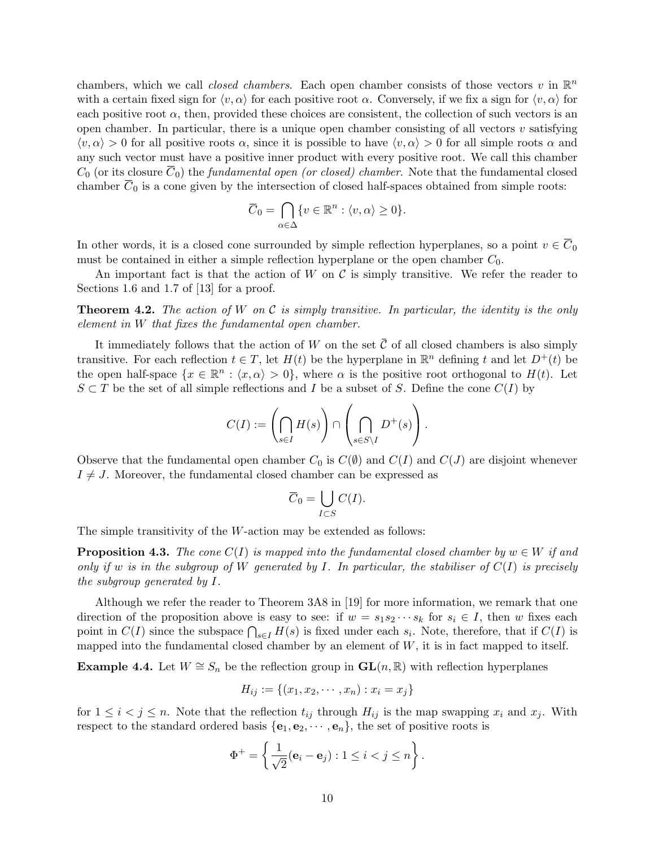chambers, which we call *closed chambers*. Each open chamber consists of those vectors v in  $\mathbb{R}^n$ with a certain fixed sign for  $\langle v, \alpha \rangle$  for each positive root  $\alpha$ . Conversely, if we fix a sign for  $\langle v, \alpha \rangle$  for each positive root  $\alpha$ , then, provided these choices are consistent, the collection of such vectors is an open chamber. In particular, there is a unique open chamber consisting of all vectors  $v$  satisfying  $\langle v, \alpha \rangle > 0$  for all positive roots  $\alpha$ , since it is possible to have  $\langle v, \alpha \rangle > 0$  for all simple roots  $\alpha$  and any such vector must have a positive inner product with every positive root. We call this chamber  $C_0$  (or its closure  $\overline{C}_0$ ) the *fundamental open (or closed) chamber*. Note that the fundamental closed chamber  $\overline{C}_0$  is a cone given by the intersection of closed half-spaces obtained from simple roots:

$$
\overline{C}_0 = \bigcap_{\alpha \in \Delta} \{ v \in \mathbb{R}^n : \langle v, \alpha \rangle \ge 0 \}.
$$

In other words, it is a closed cone surrounded by simple reflection hyperplanes, so a point  $v \in C_0$ must be contained in either a simple reflection hyperplane or the open chamber  $C_0$ .

An important fact is that the action of W on  $\mathcal C$  is simply transitive. We refer the reader to Sections 1.6 and 1.7 of [\[13\]](#page-27-12) for a proof.

**Theorem 4.2.** The action of W on C is simply transitive. In particular, the identity is the only element in W that fixes the fundamental open chamber.

It immediately follows that the action of W on the set  $\overline{C}$  of all closed chambers is also simply transitive. For each reflection  $t \in T$ , let  $H(t)$  be the hyperplane in  $\mathbb{R}^n$  defining t and let  $D^+(t)$  be the open half-space  $\{x \in \mathbb{R}^n : \langle x, \alpha \rangle > 0\}$ , where  $\alpha$  is the positive root orthogonal to  $H(t)$ . Let  $S \subset T$  be the set of all simple reflections and I be a subset of S. Define the cone  $C(I)$  by

$$
C(I):=\left(\bigcap_{s\in I}H(s)\right)\cap\left(\bigcap_{s\in S\backslash I}D^+(s)\right).
$$

Observe that the fundamental open chamber  $C_0$  is  $C(\emptyset)$  and  $C(I)$  and  $C(J)$  are disjoint whenever  $I \neq J$ . Moreover, the fundamental closed chamber can be expressed as

$$
\overline{C}_0 = \bigcup_{I \subset S} C(I).
$$

The simple transitivity of the W-action may be extended as follows:

<span id="page-9-1"></span>**Proposition 4.3.** The cone  $C(I)$  is mapped into the fundamental closed chamber by  $w \in W$  if and only if w is in the subgroup of W generated by I. In particular, the stabiliser of  $C(I)$  is precisely the subgroup generated by I.

Although we refer the reader to Theorem 3A8 in [\[19\]](#page-27-13) for more information, we remark that one direction of the proposition above is easy to see: if  $w = s_1 s_2 \cdots s_k$  for  $s_i \in I$ , then w fixes each point in  $C(I)$  since the subspace  $\bigcap_{s\in I}H(s)$  is fixed under each  $s_i$ . Note, therefore, that if  $C(I)$  is mapped into the fundamental closed chamber by an element of  $W$ , it is in fact mapped to itself.

<span id="page-9-0"></span>**Example 4.4.** Let  $W \cong S_n$  be the reflection group in  $GL(n, \mathbb{R})$  with reflection hyperplanes

$$
H_{ij} := \{(x_1, x_2, \cdots, x_n) : x_i = x_j\}
$$

for  $1 \leq i < j \leq n$ . Note that the reflection  $t_{ij}$  through  $H_{ij}$  is the map swapping  $x_i$  and  $x_j$ . With respect to the standard ordered basis  $\{e_1, e_2, \dots, e_n\}$ , the set of positive roots is

$$
\Phi^+ = \left\{ \frac{1}{\sqrt{2}} (\mathbf{e}_i - \mathbf{e}_j) : 1 \leq i < j \leq n \right\}.
$$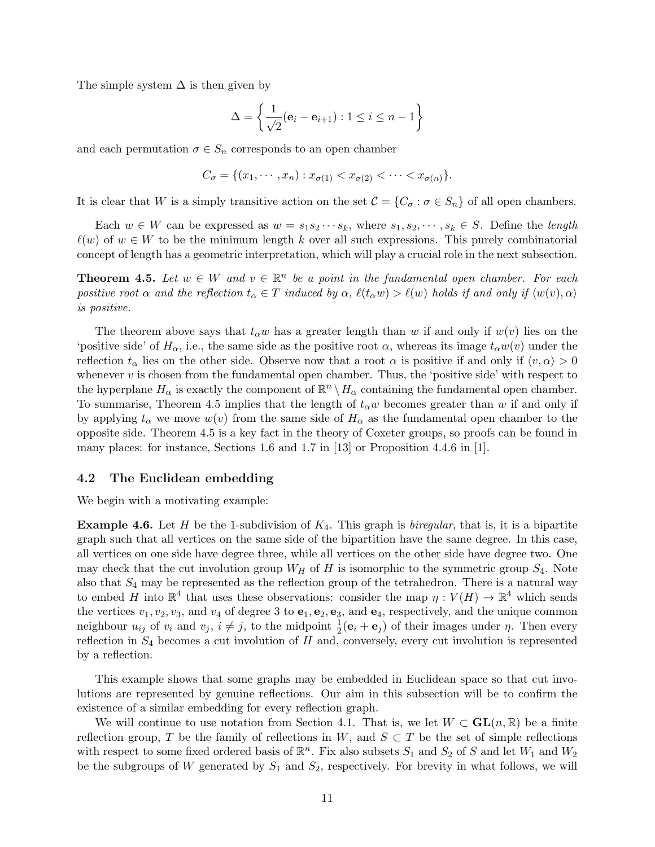The simple system  $\Delta$  is then given by

$$
\Delta = \left\{ \frac{1}{\sqrt{2}} (\mathbf{e}_i - \mathbf{e}_{i+1}) : 1 \le i \le n - 1 \right\}
$$

and each permutation  $\sigma \in S_n$  corresponds to an open chamber

$$
C_{\sigma} = \{(x_1, \cdots, x_n) : x_{\sigma(1)} < x_{\sigma(2)} < \cdots < x_{\sigma(n)}\}.
$$

It is clear that W is a simply transitive action on the set  $\mathcal{C} = \{C_{\sigma} : \sigma \in S_n\}$  of all open chambers.

Each  $w \in W$  can be expressed as  $w = s_1 s_2 \cdots s_k$ , where  $s_1, s_2, \cdots, s_k \in S$ . Define the length  $\ell(w)$  of  $w \in W$  to be the minimum length k over all such expressions. This purely combinatorial concept of length has a geometric interpretation, which will play a crucial role in the next subsection.

<span id="page-10-0"></span>**Theorem 4.5.** Let  $w \in W$  and  $v \in \mathbb{R}^n$  be a point in the fundamental open chamber. For each positive root  $\alpha$  and the reflection  $t_{\alpha} \in T$  induced by  $\alpha$ ,  $\ell(t_{\alpha}w) > \ell(w)$  holds if and only if  $\langle w(v), \alpha \rangle$ is positive.

The theorem above says that  $t_{\alpha}w$  has a greater length than w if and only if  $w(v)$  lies on the 'positive side' of  $H_{\alpha}$ , i.e., the same side as the positive root  $\alpha$ , whereas its image  $t_{\alpha}w(v)$  under the reflection  $t_{\alpha}$  lies on the other side. Observe now that a root  $\alpha$  is positive if and only if  $\langle v, \alpha \rangle > 0$ whenever  $v$  is chosen from the fundamental open chamber. Thus, the 'positive side' with respect to the hyperplane  $H_{\alpha}$  is exactly the component of  $\mathbb{R}^n \setminus H_{\alpha}$  containing the fundamental open chamber. To summarise, Theorem [4.5](#page-10-0) implies that the length of  $t_{\alpha}w$  becomes greater than w if and only if by applying  $t_\alpha$  we move  $w(v)$  from the same side of  $H_\alpha$  as the fundamental open chamber to the opposite side. Theorem [4.5](#page-10-0) is a key fact in the theory of Coxeter groups, so proofs can be found in many places: for instance, Sections 1.6 and 1.7 in [\[13\]](#page-27-12) or Proposition 4.4.6 in [\[1\]](#page-27-11).

#### 4.2 The Euclidean embedding

We begin with a motivating example:

<span id="page-10-1"></span>**Example 4.6.** Let H be the 1-subdivision of  $K_4$ . This graph is *biregular*, that is, it is a bipartite graph such that all vertices on the same side of the bipartition have the same degree. In this case, all vertices on one side have degree three, while all vertices on the other side have degree two. One may check that the cut involution group  $W_H$  of H is isomorphic to the symmetric group  $S_4$ . Note also that  $S_4$  may be represented as the reflection group of the tetrahedron. There is a natural way to embed H into  $\mathbb{R}^4$  that uses these observations: consider the map  $\eta: V(H) \to \mathbb{R}^4$  which sends the vertices  $v_1, v_2, v_3$ , and  $v_4$  of degree 3 to  $e_1, e_2, e_3$ , and  $e_4$ , respectively, and the unique common neighbour  $u_{ij}$  of  $v_i$  and  $v_j$ ,  $i \neq j$ , to the midpoint  $\frac{1}{2}(\mathbf{e}_i + \mathbf{e}_j)$  of their images under  $\eta$ . Then every reflection in  $S_4$  becomes a cut involution of H and, conversely, every cut involution is represented by a reflection.

This example shows that some graphs may be embedded in Euclidean space so that cut involutions are represented by genuine reflections. Our aim in this subsection will be to confirm the existence of a similar embedding for every reflection graph.

We will continue to use notation from Section [4.1.](#page-8-0) That is, we let  $W \subset GL(n, \mathbb{R})$  be a finite reflection group, T be the family of reflections in W, and  $S \subset T$  be the set of simple reflections with respect to some fixed ordered basis of  $\mathbb{R}^n$ . Fix also subsets  $S_1$  and  $S_2$  of S and let  $W_1$  and  $W_2$ be the subgroups of W generated by  $S_1$  and  $S_2$ , respectively. For brevity in what follows, we will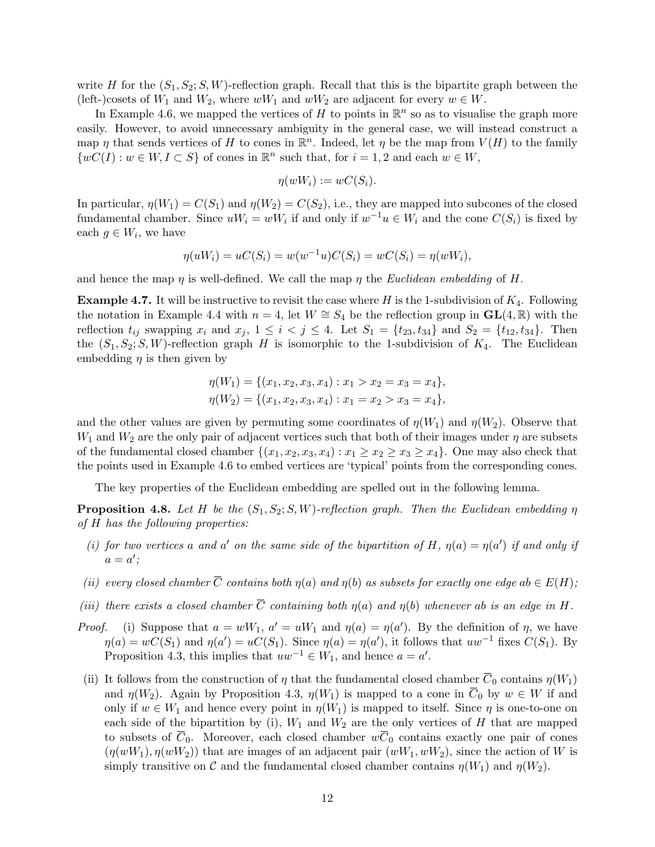write H for the  $(S_1, S_2; S, W)$ -reflection graph. Recall that this is the bipartite graph between the (left-)cosets of  $W_1$  and  $W_2$ , where  $wW_1$  and  $wW_2$  are adjacent for every  $w \in W$ .

In Example [4.6,](#page-10-1) we mapped the vertices of H to points in  $\mathbb{R}^n$  so as to visualise the graph more easily. However, to avoid unnecessary ambiguity in the general case, we will instead construct a map  $\eta$  that sends vertices of H to cones in  $\mathbb{R}^n$ . Indeed, let  $\eta$  be the map from  $V(H)$  to the family  $\{wC(I): w \in W, I \subset S\}$  of cones in  $\mathbb{R}^n$  such that, for  $i = 1, 2$  and each  $w \in W$ ,

$$
\eta(wW_i) := wC(S_i).
$$

In particular,  $\eta(W_1) = C(S_1)$  and  $\eta(W_2) = C(S_2)$ , i.e., they are mapped into subcones of the closed fundamental chamber. Since  $uW_i = wW_i$  if and only if  $w^{-1}u \in W_i$  and the cone  $C(S_i)$  is fixed by each  $g \in W_i$ , we have

$$
\eta(uW_i) = uC(S_i) = w(w^{-1}u)C(S_i) = wC(S_i) = \eta(wW_i),
$$

and hence the map  $\eta$  is well-defined. We call the map  $\eta$  the *Euclidean embedding* of H.

<span id="page-11-0"></span>**Example 4.7.** It will be instructive to revisit the case where H is the 1-subdivision of  $K_4$ . Following the notation in Example [4.4](#page-9-0) with  $n = 4$ , let  $W \cong S_4$  be the reflection group in  $GL(4, \mathbb{R})$  with the reflection  $t_{ij}$  swapping  $x_i$  and  $x_j$ ,  $1 \le i < j \le 4$ . Let  $S_1 = \{t_{23}, t_{34}\}$  and  $S_2 = \{t_{12}, t_{34}\}$ . Then the  $(S_1, S_2; S, W)$ -reflection graph H is isomorphic to the 1-subdivision of  $K_4$ . The Euclidean embedding  $\eta$  is then given by

$$
\eta(W_1) = \{ (x_1, x_2, x_3, x_4) : x_1 > x_2 = x_3 = x_4 \},
$$
  

$$
\eta(W_2) = \{ (x_1, x_2, x_3, x_4) : x_1 = x_2 > x_3 = x_4 \},
$$

and the other values are given by permuting some coordinates of  $\eta(W_1)$  and  $\eta(W_2)$ . Observe that  $W_1$  and  $W_2$  are the only pair of adjacent vertices such that both of their images under  $\eta$  are subsets of the fundamental closed chamber  $\{(x_1, x_2, x_3, x_4) : x_1 \ge x_2 \ge x_3 \ge x_4\}$ . One may also check that the points used in Example [4.6](#page-10-1) to embed vertices are 'typical' points from the corresponding cones.

The key properties of the Euclidean embedding are spelled out in the following lemma.

<span id="page-11-1"></span>**Proposition 4.8.** Let H be the  $(S_1, S_2; S, W)$ -reflection graph. Then the Euclidean embedding  $\eta$ of H has the following properties:

- (i) for two vertices a and a' on the same side of the bipartition of H,  $\eta(a) = \eta(a')$  if and only if  $a = a'$ ;
- (ii) every closed chamber  $\overline{C}$  contains both  $\eta(a)$  and  $\eta(b)$  as subsets for exactly one edge ab  $\in E(H)$ ;
- (iii) there exists a closed chamber  $\overline{C}$  containing both  $\eta(a)$  and  $\eta(b)$  whenever ab is an edge in H.
- *Proof.* (i) Suppose that  $a = wW_1$ ,  $a' = uW_1$  and  $\eta(a) = \eta(a')$ . By the definition of  $\eta$ , we have  $\eta(a) = wC(S_1)$  and  $\eta(a') = uC(S_1)$ . Since  $\eta(a) = \eta(a')$ , it follows that  $uw^{-1}$  fixes  $C(S_1)$ . By Proposition [4.3,](#page-9-1) this implies that  $uw^{-1} \in W_1$ , and hence  $a = a'$ .
- (ii) It follows from the construction of  $\eta$  that the fundamental closed chamber  $\overline{C}_0$  contains  $\eta(W_1)$ and  $\eta(W_2)$ . Again by Proposition [4.3,](#page-9-1)  $\eta(W_1)$  is mapped to a cone in  $\overline{C}_0$  by  $w \in W$  if and only if  $w \in W_1$  and hence every point in  $\eta(W_1)$  is mapped to itself. Since  $\eta$  is one-to-one on each side of the bipartition by (i),  $W_1$  and  $W_2$  are the only vertices of H that are mapped to subsets of  $\overline{C_0}$ . Moreover, each closed chamber  $w\overline{C_0}$  contains exactly one pair of cones  $(\eta(wW_1), \eta(wW_2))$  that are images of an adjacent pair  $(wW_1, wW_2)$ , since the action of W is simply transitive on C and the fundamental closed chamber contains  $\eta(W_1)$  and  $\eta(W_2)$ .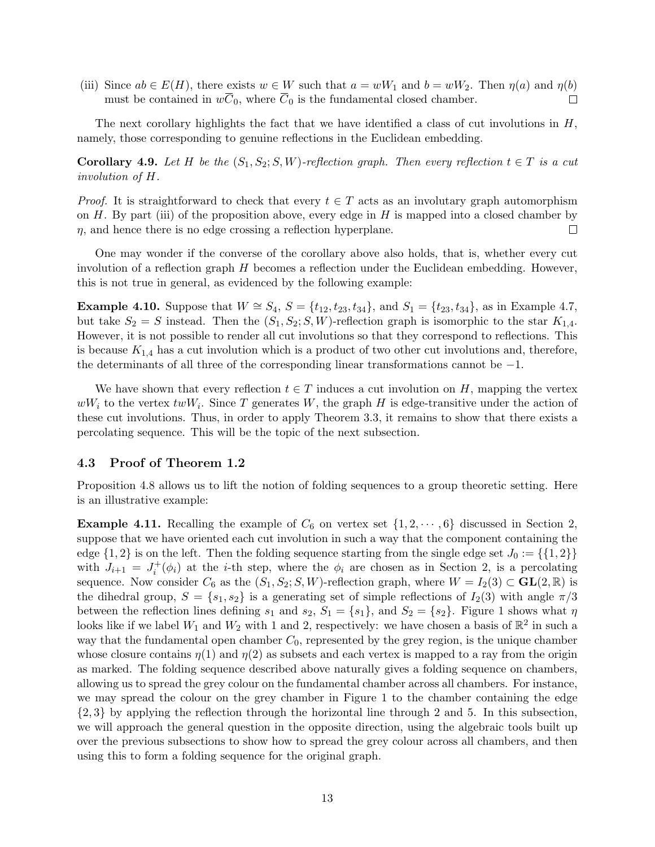(iii) Since  $ab \in E(H)$ , there exists  $w \in W$  such that  $a = wW_1$  and  $b = wW_2$ . Then  $\eta(a)$  and  $\eta(b)$ must be contained in  $w\overline{C}_0$ , where  $\overline{C}_0$  is the fundamental closed chamber.  $\Box$ 

The next corollary highlights the fact that we have identified a class of cut involutions in  $H$ , namely, those corresponding to genuine reflections in the Euclidean embedding.

**Corollary 4.9.** Let H be the  $(S_1, S_2; S, W)$ -reflection graph. Then every reflection  $t \in T$  is a cut involution of H.

*Proof.* It is straightforward to check that every  $t \in T$  acts as an involutary graph automorphism on  $H$ . By part (iii) of the proposition above, every edge in  $H$  is mapped into a closed chamber by  $\eta$ , and hence there is no edge crossing a reflection hyperplane.  $\Box$ 

One may wonder if the converse of the corollary above also holds, that is, whether every cut involution of a reflection graph H becomes a reflection under the Euclidean embedding. However, this is not true in general, as evidenced by the following example:

**Example 4.10.** Suppose that  $W \cong S_4$ ,  $S = \{t_{12}, t_{23}, t_{34}\}$ , and  $S_1 = \{t_{23}, t_{34}\}$ , as in Example [4.7,](#page-11-0) but take  $S_2 = S$  instead. Then the  $(S_1, S_2; S, W)$ -reflection graph is isomorphic to the star  $K_{1,4}$ . However, it is not possible to render all cut involutions so that they correspond to reflections. This is because  $K_{1,4}$  has a cut involution which is a product of two other cut involutions and, therefore, the determinants of all three of the corresponding linear transformations cannot be −1.

We have shown that every reflection  $t \in T$  induces a cut involution on H, mapping the vertex  $wW_i$  to the vertex  $twW_i$ . Since T generates W, the graph H is edge-transitive under the action of these cut involutions. Thus, in order to apply Theorem [3.3,](#page-8-1) it remains to show that there exists a percolating sequence. This will be the topic of the next subsection.

### 4.3 Proof of Theorem [1.2](#page-1-2)

Proposition [4.8](#page-11-1) allows us to lift the notion of folding sequences to a group theoretic setting. Here is an illustrative example:

**Example 4.11.** Recalling the example of  $C_6$  on vertex set  $\{1, 2, \dots, 6\}$  $\{1, 2, \dots, 6\}$  $\{1, 2, \dots, 6\}$  discussed in Section 2, suppose that we have oriented each cut involution in such a way that the component containing the edge  $\{1, 2\}$  is on the left. Then the folding sequence starting from the single edge set  $J_0 := \{\{1, 2\}\}\$ with  $J_{i+1} = J_i^+(\phi_i)$  at the *i*-th step, where the  $\phi_i$  are chosen as in Section [2,](#page-3-1) is a percolating sequence. Now consider  $C_6$  as the  $(S_1, S_2; S, W)$ -reflection graph, where  $W = I_2(3) \subset GL(2, \mathbb{R})$  is the dihedral group,  $S = \{s_1, s_2\}$  is a generating set of simple reflections of  $I_2(3)$  with angle  $\pi/3$ between the reflection lines defining  $s_1$  and  $s_2$ ,  $S_1 = \{s_1\}$ , and  $S_2 = \{s_2\}$ . Figure [1](#page-13-0) shows what  $\eta$ looks like if we label  $W_1$  and  $W_2$  with 1 and 2, respectively: we have chosen a basis of  $\mathbb{R}^2$  in such a way that the fundamental open chamber  $C_0$ , represented by the grey region, is the unique chamber whose closure contains  $\eta(1)$  and  $\eta(2)$  as subsets and each vertex is mapped to a ray from the origin as marked. The folding sequence described above naturally gives a folding sequence on chambers, allowing us to spread the grey colour on the fundamental chamber across all chambers. For instance, we may spread the colour on the grey chamber in Figure [1](#page-13-0) to the chamber containing the edge {2, 3} by applying the reflection through the horizontal line through 2 and 5. In this subsection, we will approach the general question in the opposite direction, using the algebraic tools built up over the previous subsections to show how to spread the grey colour across all chambers, and then using this to form a folding sequence for the original graph.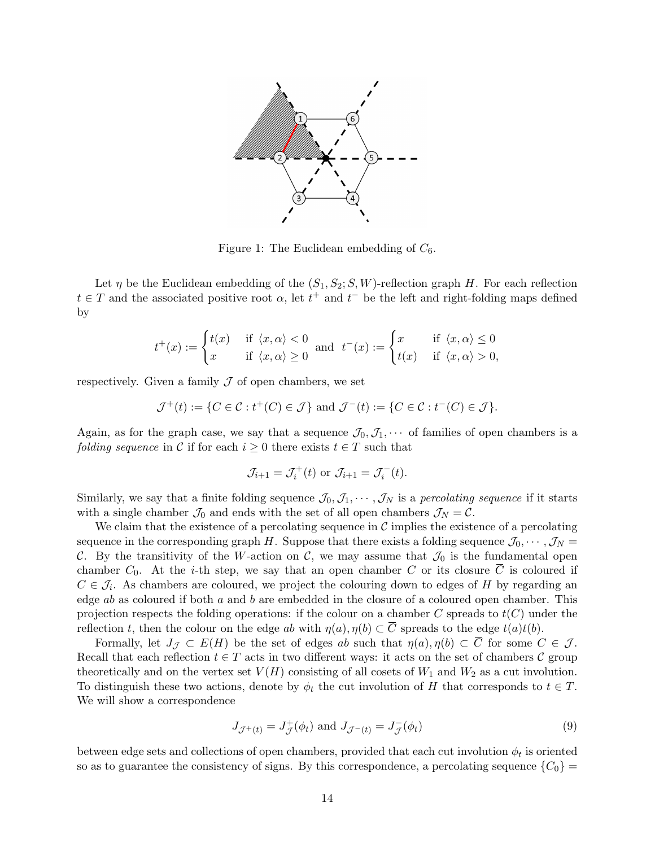

<span id="page-13-0"></span>Figure 1: The Euclidean embedding of  $C_6$ .

Let  $\eta$  be the Euclidean embedding of the  $(S_1, S_2; S, W)$ -reflection graph H. For each reflection  $t \in T$  and the associated positive root  $\alpha$ , let  $t^+$  and  $t^-$  be the left and right-folding maps defined by

$$
t^+(x) := \begin{cases} t(x) & \text{if } \langle x, \alpha \rangle < 0 \\ x & \text{if } \langle x, \alpha \rangle \ge 0 \end{cases} \text{ and } t^-(x) := \begin{cases} x & \text{if } \langle x, \alpha \rangle \le 0 \\ t(x) & \text{if } \langle x, \alpha \rangle > 0, \end{cases}
$$

respectively. Given a family  $J$  of open chambers, we set

$$
\mathcal{J}^+(t) := \{ C \in \mathcal{C} : t^+(C) \in \mathcal{J} \} \text{ and } \mathcal{J}^-(t) := \{ C \in \mathcal{C} : t^-(C) \in \mathcal{J} \}.
$$

Again, as for the graph case, we say that a sequence  $\mathcal{J}_0, \mathcal{J}_1, \cdots$  of families of open chambers is a *folding sequence* in C if for each  $i \geq 0$  there exists  $t \in T$  such that

$$
\mathcal{J}_{i+1} = \mathcal{J}_i^+(t) \text{ or } \mathcal{J}_{i+1} = \mathcal{J}_i^-(t).
$$

Similarly, we say that a finite folding sequence  $\mathcal{J}_0, \mathcal{J}_1, \cdots, \mathcal{J}_N$  is a percolating sequence if it starts with a single chamber  $\mathcal{J}_0$  and ends with the set of all open chambers  $\mathcal{J}_N = \mathcal{C}$ .

We claim that the existence of a percolating sequence in  $\mathcal C$  implies the existence of a percolating sequence in the corresponding graph H. Suppose that there exists a folding sequence  $\mathcal{J}_0, \cdots, \mathcal{J}_N =$ C. By the transitivity of the W-action on C, we may assume that  $\mathcal{J}_0$  is the fundamental open chamber  $C_0$ . At the *i*-th step, we say that an open chamber C or its closure  $\overline{C}$  is coloured if  $C \in \mathcal{J}_i$ . As chambers are coloured, we project the colouring down to edges of H by regarding an edge  $ab$  as coloured if both  $a$  and  $b$  are embedded in the closure of a coloured open chamber. This projection respects the folding operations: if the colour on a chamber C spreads to  $t(C)$  under the reflection t, then the colour on the edge ab with  $\eta(a), \eta(b) \subset \overline{C}$  spreads to the edge  $t(a)t(b)$ .

Formally, let  $J_{\mathcal{J}} \subset E(H)$  be the set of edges ab such that  $\eta(a), \eta(b) \subset \overline{C}$  for some  $C \in \mathcal{J}$ . Recall that each reflection  $t \in T$  acts in two different ways: it acts on the set of chambers C group theoretically and on the vertex set  $V(H)$  consisting of all cosets of  $W_1$  and  $W_2$  as a cut involution. To distinguish these two actions, denote by  $\phi_t$  the cut involution of H that corresponds to  $t \in T$ . We will show a correspondence

<span id="page-13-1"></span>
$$
J_{\mathcal{J}^+(t)} = J_{\mathcal{J}}^+(\phi_t) \text{ and } J_{\mathcal{J}^-(t)} = J_{\mathcal{J}}^-(\phi_t) \tag{9}
$$

between edge sets and collections of open chambers, provided that each cut involution  $\phi_t$  is oriented so as to guarantee the consistency of signs. By this correspondence, a percolating sequence  ${C_0}$  =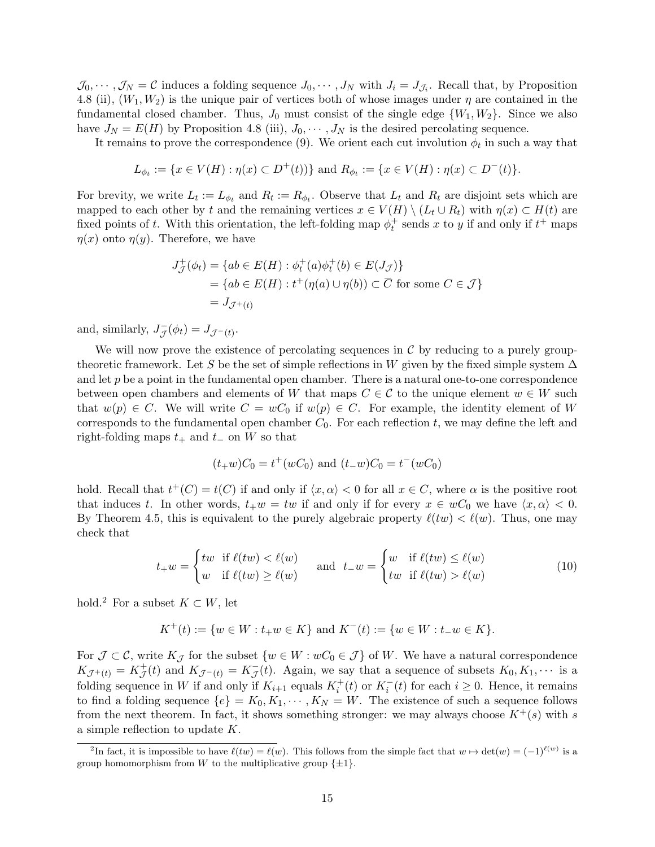$\mathcal{J}_0, \dots, \mathcal{J}_N = \mathcal{C}$  induces a folding sequence  $J_0, \dots, J_N$  with  $J_i = J_{\mathcal{J}_i}$ . Recall that, by Proposition [4.8](#page-11-1) (ii),  $(W_1, W_2)$  is the unique pair of vertices both of whose images under  $\eta$  are contained in the fundamental closed chamber. Thus,  $J_0$  must consist of the single edge  $\{W_1, W_2\}$ . Since we also have  $J_N = E(H)$  by Proposition [4.8](#page-11-1) (iii),  $J_0, \dots, J_N$  is the desired percolating sequence.

It remains to prove the correspondence [\(9\)](#page-13-1). We orient each cut involution  $\phi_t$  in such a way that

$$
L_{\phi_t} := \{ x \in V(H) : \eta(x) \subset D^+(t) \} \text{ and } R_{\phi_t} := \{ x \in V(H) : \eta(x) \subset D^-(t) \}.
$$

For brevity, we write  $L_t := L_{\phi_t}$  and  $R_t := R_{\phi_t}$ . Observe that  $L_t$  and  $R_t$  are disjoint sets which are mapped to each other by t and the remaining vertices  $x \in V(H) \setminus (L_t \cup R_t)$  with  $\eta(x) \subset H(t)$  are fixed points of t. With this orientation, the left-folding map  $\phi_t^+$  sends x to y if and only if  $t^+$  maps  $\eta(x)$  onto  $\eta(y)$ . Therefore, we have

$$
J_{\mathcal{J}}^{+}(\phi_{t}) = \{ ab \in E(H) : \phi_{t}^{+}(a)\phi_{t}^{+}(b) \in E(J_{\mathcal{J}}) \}
$$
  
= 
$$
\{ ab \in E(H) : t^{+}(\eta(a) \cup \eta(b)) \subset \overline{C} \text{ for some } C \in \mathcal{J} \}
$$
  
= 
$$
J_{\mathcal{J}^{+}(t)}
$$

and, similarly,  $J_{\tau}^ J_{\mathcal{J}}(\phi_t) = J_{\mathcal{J}^-(t)}.$ 

We will now prove the existence of percolating sequences in  $\mathcal C$  by reducing to a purely grouptheoretic framework. Let S be the set of simple reflections in W given by the fixed simple system  $\Delta$ and let  $p$  be a point in the fundamental open chamber. There is a natural one-to-one correspondence between open chambers and elements of W that maps  $C \in \mathcal{C}$  to the unique element  $w \in W$  such that  $w(p) \in C$ . We will write  $C = wC_0$  if  $w(p) \in C$ . For example, the identity element of W corresponds to the fundamental open chamber  $C_0$ . For each reflection  $t$ , we may define the left and right-folding maps  $t_+$  and  $t_-\,$  on W so that

<span id="page-14-1"></span>
$$
(t_{+}w)C_0 = t^{+}(wC_0)
$$
 and  $(t_{-}w)C_0 = t^{-}(wC_0)$ 

hold. Recall that  $t^+(C) = t(C)$  if and only if  $\langle x, \alpha \rangle < 0$  for all  $x \in C$ , where  $\alpha$  is the positive root that induces t. In other words,  $t_+w = tw$  if and only if for every  $x \in wC_0$  we have  $\langle x, \alpha \rangle < 0$ . By Theorem [4.5,](#page-10-0) this is equivalent to the purely algebraic property  $\ell(tw) < \ell(w)$ . Thus, one may check that

$$
t_{+}w = \begin{cases} tw & \text{if } \ell(tw) < \ell(w) \\ w & \text{if } \ell(tw) \ge \ell(w) \end{cases} \quad \text{and} \quad t_{-}w = \begin{cases} w & \text{if } \ell(tw) \le \ell(w) \\ tw & \text{if } \ell(tw) > \ell(w) \end{cases} \tag{10}
$$

hold.<sup>[2](#page-14-0)</sup> For a subset  $K \subset W$ , let

$$
K^+(t) := \{ w \in W : t_+ w \in K \} \text{ and } K^-(t) := \{ w \in W : t_- w \in K \}.
$$

For  $\mathcal{J} \subset \mathcal{C}$ , write  $K_{\mathcal{J}}$  for the subset  $\{w \in W : wC_0 \in \mathcal{J}\}\$  of W. We have a natural correspondence  $K_{\mathcal{J}^+(t)} = K_{\mathcal{J}}^+(t)$  and  $K_{\mathcal{J}^-(t)} = K_{\mathcal{J}}^-(t)$ . Again, we say that a sequence of subsets  $K_0, K_1, \cdots$  is a folding sequence in W if and only if  $K_{i+1}$  equals  $K_i^+(t)$  or  $K_i^-(t)$  for each  $i \geq 0$ . Hence, it remains to find a folding sequence  $\{e\} = K_0, K_1, \cdots, K_N = W$ . The existence of such a sequence follows from the next theorem. In fact, it shows something stronger: we may always choose  $K^+(s)$  with s a simple reflection to update K.

<span id="page-14-0"></span><sup>&</sup>lt;sup>2</sup>In fact, it is impossible to have  $\ell(tw) = \ell(w)$ . This follows from the simple fact that  $w \mapsto \det(w) = (-1)^{\ell(w)}$  is a group homomorphism from W to the multiplicative group  $\{\pm 1\}$ .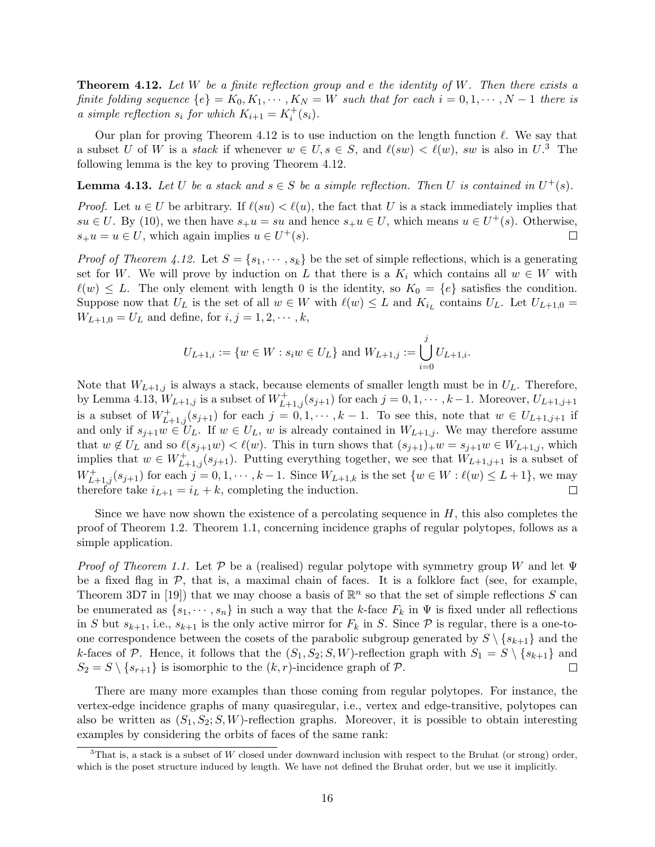<span id="page-15-0"></span>**Theorem 4.12.** Let W be a finite reflection group and e the identity of W. Then there exists a finite folding sequence  $\{e\} = K_0, K_1, \cdots, K_N = W$  such that for each  $i = 0, 1, \cdots, N-1$  there is a simple reflection  $s_i$  for which  $K_{i+1} = K_i^+(s_i)$ .

Our plan for proving Theorem [4.12](#page-15-0) is to use induction on the length function  $\ell$ . We say that a subset U of W is a *stack* if whenever  $w \in U$ ,  $s \in S$ , and  $\ell(sw) < \ell(w)$ , sw is also in  $U$ .<sup>[3](#page-15-1)</sup> The following lemma is the key to proving Theorem [4.12.](#page-15-0)

<span id="page-15-2"></span>**Lemma 4.13.** Let U be a stack and  $s \in S$  be a simple reflection. Then U is contained in  $U^+(s)$ .

*Proof.* Let  $u \in U$  be arbitrary. If  $\ell(su) < \ell(u)$ , the fact that U is a stack immediately implies that  $su \in U$ . By [\(10\)](#page-14-1), we then have  $s_+u = su$  and hence  $s_+u \in U$ , which means  $u \in U^+(s)$ . Otherwise,  $s<sub>+</sub> u = u \in U$ , which again implies  $u \in U<sup>+</sup>(s)$ .  $\Box$ 

*Proof of Theorem [4.12.](#page-15-0)* Let  $S = \{s_1, \dots, s_k\}$  be the set of simple reflections, which is a generating set for W. We will prove by induction on L that there is a  $K_i$  which contains all  $w \in W$  with  $\ell(w) \leq L$ . The only element with length 0 is the identity, so  $K_0 = \{e\}$  satisfies the condition. Suppose now that  $U_L$  is the set of all  $w \in W$  with  $\ell(w) \leq L$  and  $K_{i_L}$  contains  $U_L$ . Let  $U_{L+1,0} =$  $W_{L+1,0} = U_L$  and define, for  $i, j = 1, 2, \dots, k$ ,

$$
U_{L+1,i} := \{ w \in W : s_i w \in U_L \} \text{ and } W_{L+1,j} := \bigcup_{i=0}^j U_{L+1,i}.
$$

Note that  $W_{L+1,j}$  is always a stack, because elements of smaller length must be in  $U_L$ . Therefore, by Lemma [4.13,](#page-15-2)  $W_{L+1,j}$  is a subset of  $W^+_{L+1,j}(s_{j+1})$  for each  $j = 0, 1, \cdots, k-1$ . Moreover,  $U_{L+1,j+1}$ is a subset of  $W^+_{L+1,j}(s_{j+1})$  for each  $j = 0, 1, \cdots, k-1$ . To see this, note that  $w \in U_{L+1,j+1}$  if and only if  $s_{j+1}w \in U_L$ . If  $w \in U_L$ , w is already contained in  $W_{L+1,j}$ . We may therefore assume that  $w \notin U_L$  and so  $\ell(s_{j+1}w) < \ell(w)$ . This in turn shows that  $(s_{j+1})_+w = s_{j+1}w \in W_{L+1,j}$ , which implies that  $w \in W^+_{L+1,j}(s_{j+1})$ . Putting everything together, we see that  $W_{L+1,j+1}$  is a subset of  $W^+_{L+1,j}(s_{j+1})$  for each  $j = 0, 1, \cdots, k-1$ . Since  $W_{L+1,k}$  is the set  $\{w \in W : \ell(w) \le L+1\}$ , we may therefore take  $i_{L+1} = i_L + k$ , completing the induction.  $\Box$ 

Since we have now shown the existence of a percolating sequence in  $H$ , this also completes the proof of Theorem [1.2.](#page-1-2) Theorem [1.1,](#page-1-0) concerning incidence graphs of regular polytopes, follows as a simple application.

Proof of Theorem [1.1.](#page-1-0) Let P be a (realised) regular polytope with symmetry group W and let  $\Psi$ be a fixed flag in  $P$ , that is, a maximal chain of faces. It is a folklore fact (see, for example, Theorem 3D7 in [\[19\]](#page-27-13)) that we may choose a basis of  $\mathbb{R}^n$  so that the set of simple reflections S can be enumerated as  $\{s_1, \dots, s_n\}$  in such a way that the k-face  $F_k$  in  $\Psi$  is fixed under all reflections in S but  $s_{k+1}$ , i.e.,  $s_{k+1}$  is the only active mirror for  $F_k$  in S. Since  $P$  is regular, there is a one-toone correspondence between the cosets of the parabolic subgroup generated by  $S \setminus \{s_{k+1}\}\$  and the k-faces of P. Hence, it follows that the  $(S_1, S_2; S, W)$ -reflection graph with  $S_1 = S \setminus \{s_{k+1}\}\$ and  $S_2 = S \setminus \{s_{r+1}\}\$ is isomorphic to the  $(k, r)$ -incidence graph of  $P$ . П

There are many more examples than those coming from regular polytopes. For instance, the vertex-edge incidence graphs of many quasiregular, i.e., vertex and edge-transitive, polytopes can also be written as  $(S_1, S_2; S, W)$ -reflection graphs. Moreover, it is possible to obtain interesting examples by considering the orbits of faces of the same rank:

<span id="page-15-1"></span><sup>&</sup>lt;sup>3</sup>That is, a stack is a subset of W closed under downward inclusion with respect to the Bruhat (or strong) order, which is the poset structure induced by length. We have not defined the Bruhat order, but we use it implicitly.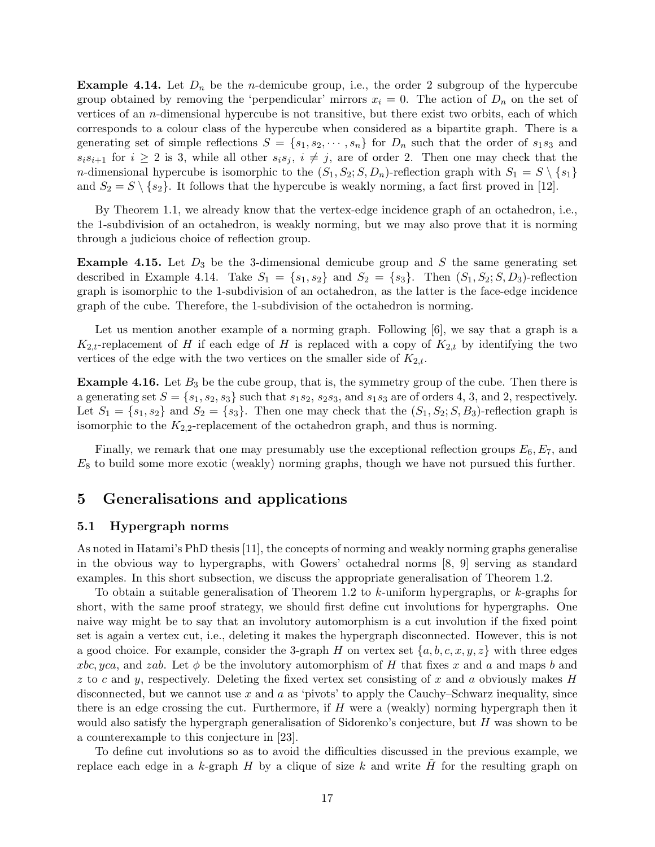<span id="page-16-2"></span>**Example 4.14.** Let  $D_n$  be the *n*-demicube group, i.e., the order 2 subgroup of the hypercube group obtained by removing the 'perpendicular' mirrors  $x_i = 0$ . The action of  $D_n$  on the set of vertices of an n-dimensional hypercube is not transitive, but there exist two orbits, each of which corresponds to a colour class of the hypercube when considered as a bipartite graph. There is a generating set of simple reflections  $S = \{s_1, s_2, \dots, s_n\}$  for  $D_n$  such that the order of  $s_1s_3$  and  $s_i s_{i+1}$  for  $i \geq 2$  is 3, while all other  $s_i s_j$ ,  $i \neq j$ , are of order 2. Then one may check that the *n*-dimensional hypercube is isomorphic to the  $(S_1, S_2; S, D_n)$ -reflection graph with  $S_1 = S \setminus \{s_1\}$ and  $S_2 = S \setminus \{s_2\}$ . It follows that the hypercube is weakly norming, a fact first proved in [\[12\]](#page-27-1).

By Theorem [1.1,](#page-1-0) we already know that the vertex-edge incidence graph of an octahedron, i.e., the 1-subdivision of an octahedron, is weakly norming, but we may also prove that it is norming through a judicious choice of reflection group.

**Example 4.15.** Let  $D_3$  be the 3-dimensional demicube group and S the same generating set described in Example [4.14.](#page-16-2) Take  $S_1 = \{s_1, s_2\}$  and  $S_2 = \{s_3\}$ . Then  $(S_1, S_2; S, D_3)$ -reflection graph is isomorphic to the 1-subdivision of an octahedron, as the latter is the face-edge incidence graph of the cube. Therefore, the 1-subdivision of the octahedron is norming.

Let us mention another example of a norming graph. Following  $[6]$ , we say that a graph is a  $K_{2,t}$ -replacement of H if each edge of H is replaced with a copy of  $K_{2,t}$  by identifying the two vertices of the edge with the two vertices on the smaller side of  $K_{2,t}$ .

<span id="page-16-0"></span>**Example 4.16.** Let  $B_3$  be the cube group, that is, the symmetry group of the cube. Then there is a generating set  $S = \{s_1, s_2, s_3\}$  such that  $s_1s_2, s_2s_3$ , and  $s_1s_3$  are of orders 4, 3, and 2, respectively. Let  $S_1 = \{s_1, s_2\}$  and  $S_2 = \{s_3\}$ . Then one may check that the  $(S_1, S_2; S, B_3)$ -reflection graph is isomorphic to the  $K_{2,2}$ -replacement of the octahedron graph, and thus is norming.

Finally, we remark that one may presumably use the exceptional reflection groups  $E_6, E_7$ , and  $E_8$  to build some more exotic (weakly) norming graphs, though we have not pursued this further.

# <span id="page-16-1"></span>5 Generalisations and applications

### 5.1 Hypergraph norms

As noted in Hatami's PhD thesis [\[11\]](#page-27-14), the concepts of norming and weakly norming graphs generalise in the obvious way to hypergraphs, with Gowers' octahedral norms [\[8,](#page-27-7) [9\]](#page-27-8) serving as standard examples. In this short subsection, we discuss the appropriate generalisation of Theorem [1.2.](#page-1-2)

To obtain a suitable generalisation of Theorem [1.2](#page-1-2) to k-uniform hypergraphs, or k-graphs for short, with the same proof strategy, we should first define cut involutions for hypergraphs. One naive way might be to say that an involutory automorphism is a cut involution if the fixed point set is again a vertex cut, i.e., deleting it makes the hypergraph disconnected. However, this is not a good choice. For example, consider the 3-graph H on vertex set  $\{a, b, c, x, y, z\}$  with three edges xbc, yca, and zab. Let  $\phi$  be the involutory automorphism of H that fixes x and a and maps b and  $z$  to c and y, respectively. Deleting the fixed vertex set consisting of x and a obviously makes H disconnected, but we cannot use x and a as 'pivots' to apply the Cauchy–Schwarz inequality, since there is an edge crossing the cut. Furthermore, if  $H$  were a (weakly) norming hypergraph then it would also satisfy the hypergraph generalisation of Sidorenko's conjecture, but H was shown to be a counterexample to this conjecture in [\[23\]](#page-28-1).

To define cut involutions so as to avoid the difficulties discussed in the previous example, we replace each edge in a k-graph  $H$  by a clique of size k and write  $H$  for the resulting graph on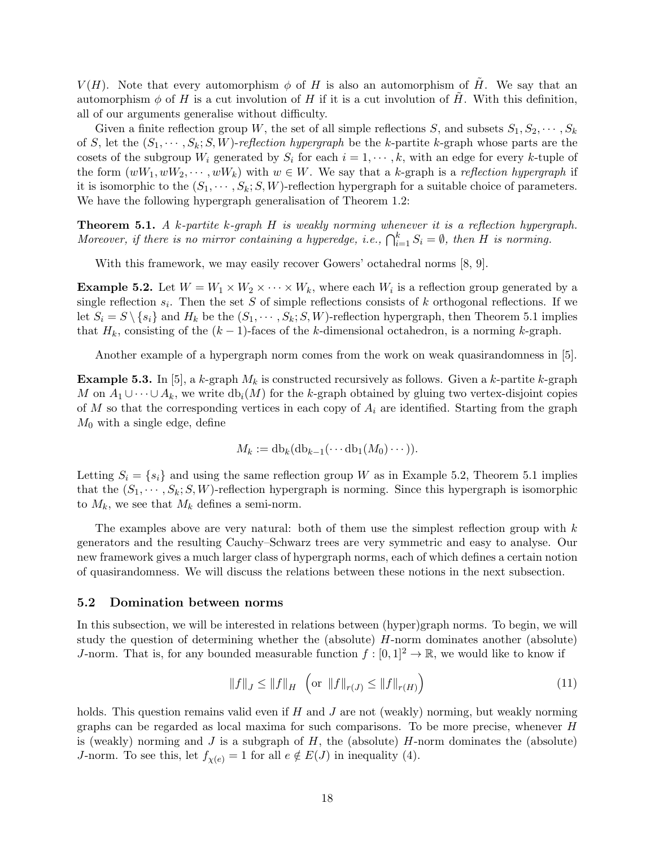$V(H)$ . Note that every automorphism  $\phi$  of H is also an automorphism of  $\tilde{H}$ . We say that an automorphism  $\phi$  of H is a cut involution of H if it is a cut involution of H. With this definition, all of our arguments generalise without difficulty.

Given a finite reflection group W, the set of all simple reflections S, and subsets  $S_1, S_2, \cdots, S_k$ of S, let the  $(S_1, \dots, S_k; S, W)$ -reflection hypergraph be the k-partite k-graph whose parts are the cosets of the subgroup  $W_i$  generated by  $S_i$  for each  $i = 1, \dots, k$ , with an edge for every k-tuple of the form  $(wW_1, wW_2, \dots, wW_k)$  with  $w \in W$ . We say that a k-graph is a reflection hypergraph if it is isomorphic to the  $(S_1, \dots, S_k; S, W)$ -reflection hypergraph for a suitable choice of parameters. We have the following hypergraph generalisation of Theorem [1.2:](#page-1-2)

<span id="page-17-0"></span>**Theorem 5.1.** A k-partite k-graph H is weakly norming whenever it is a reflection hypergraph. Moreover, if there is no mirror containing a hyperedge, i.e.,  $\bigcap_{i=1}^k S_i = \emptyset$ , then H is norming.

With this framework, we may easily recover Gowers' octahedral norms [\[8,](#page-27-7) [9\]](#page-27-8).

<span id="page-17-1"></span>**Example 5.2.** Let  $W = W_1 \times W_2 \times \cdots \times W_k$ , where each  $W_i$  is a reflection group generated by a single reflection  $s_i$ . Then the set S of simple reflections consists of k orthogonal reflections. If we let  $S_i = S \setminus \{s_i\}$  and  $H_k$  be the  $(S_1, \dots, S_k; S, W)$ -reflection hypergraph, then Theorem [5.1](#page-17-0) implies that  $H_k$ , consisting of the  $(k-1)$ -faces of the k-dimensional octahedron, is a norming k-graph.

Another example of a hypergraph norm comes from the work on weak quasirandomness in [\[5\]](#page-27-9).

<span id="page-17-2"></span>**Example 5.3.** In [\[5\]](#page-27-9), a k-graph  $M_k$  is constructed recursively as follows. Given a k-partite k-graph M on  $A_1 \cup \cdots \cup A_k$ , we write  $db_i(M)$  for the k-graph obtained by gluing two vertex-disjoint copies of M so that the corresponding vertices in each copy of  $A_i$  are identified. Starting from the graph  $M_0$  with a single edge, define

$$
M_k := \mathrm{db}_k(\mathrm{db}_{k-1}(\cdots \mathrm{db}_1(M_0)\cdots)).
$$

Letting  $S_i = \{s_i\}$  and using the same reflection group W as in Example [5.2,](#page-17-1) Theorem [5.1](#page-17-0) implies that the  $(S_1, \dots, S_k; S, W)$ -reflection hypergraph is norming. Since this hypergraph is isomorphic to  $M_k$ , we see that  $M_k$  defines a semi-norm.

The examples above are very natural: both of them use the simplest reflection group with  $k$ generators and the resulting Cauchy–Schwarz trees are very symmetric and easy to analyse. Our new framework gives a much larger class of hypergraph norms, each of which defines a certain notion of quasirandomness. We will discuss the relations between these notions in the next subsection.

#### 5.2 Domination between norms

In this subsection, we will be interested in relations between (hyper)graph norms. To begin, we will study the question of determining whether the (absolute) H-norm dominates another (absolute) J-norm. That is, for any bounded measurable function  $f : [0, 1]^2 \to \mathbb{R}$ , we would like to know if

<span id="page-17-3"></span>
$$
||f||_{J} \le ||f||_{H} \quad \left(\text{or } ||f||_{r(J)} \le ||f||_{r(H)}\right) \tag{11}
$$

holds. This question remains valid even if  $H$  and  $J$  are not (weakly) norming, but weakly norming graphs can be regarded as local maxima for such comparisons. To be more precise, whenever H is (weakly) norming and J is a subgraph of  $H$ , the (absolute)  $H$ -norm dominates the (absolute) J-norm. To see this, let  $f_{\chi(e)} = 1$  for all  $e \notin E(J)$  in inequality [\(4\)](#page-2-0).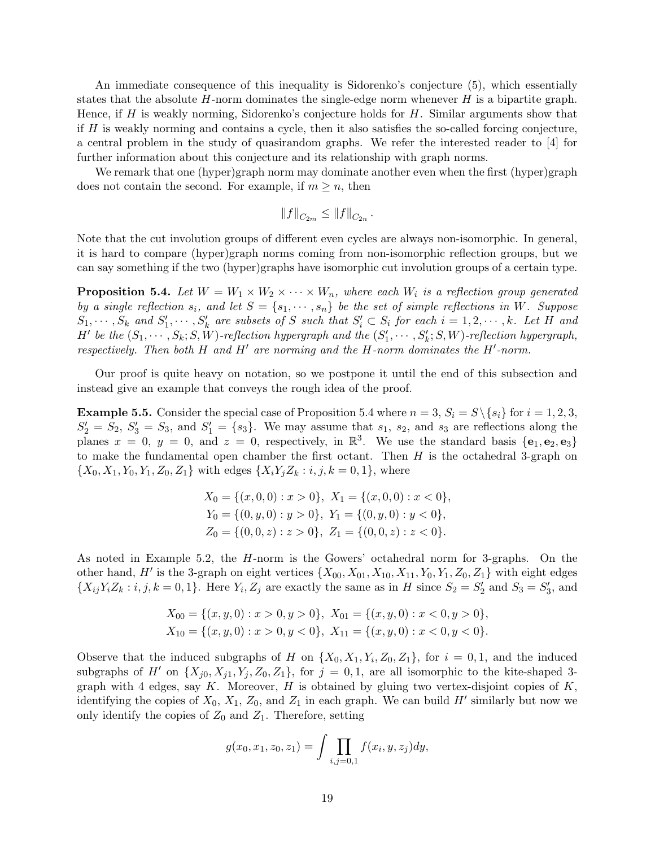An immediate consequence of this inequality is Sidorenko's conjecture [\(5\)](#page-2-2), which essentially states that the absolute  $H$ -norm dominates the single-edge norm whenever  $H$  is a bipartite graph. Hence, if  $H$  is weakly norming, Sidorenko's conjecture holds for  $H$ . Similar arguments show that if  $H$  is weakly norming and contains a cycle, then it also satisfies the so-called forcing conjecture, a central problem in the study of quasirandom graphs. We refer the interested reader to [\[4\]](#page-27-3) for further information about this conjecture and its relationship with graph norms.

We remark that one (hyper)graph norm may dominate another even when the first (hyper)graph does not contain the second. For example, if  $m \geq n$ , then

$$
||f||_{C_{2m}} \leq ||f||_{C_{2n}}.
$$

Note that the cut involution groups of different even cycles are always non-isomorphic. In general, it is hard to compare (hyper)graph norms coming from non-isomorphic reflection groups, but we can say something if the two (hyper)graphs have isomorphic cut involution groups of a certain type.

<span id="page-18-0"></span>**Proposition 5.4.** Let  $W = W_1 \times W_2 \times \cdots \times W_n$ , where each  $W_i$  is a reflection group generated by a single reflection  $s_i$ , and let  $S = \{s_1, \dots, s_n\}$  be the set of simple reflections in W. Suppose  $S_1, \cdots, S_k$  and  $S'_1, \cdots, S'_k$  are subsets of S such that  $S'_i \subset S_i$  for each  $i = 1, 2, \cdots, k$ . Let H and  $H'$  be the  $(S_1, \dots, S_k; S, W)$ -reflection hypergraph and the  $(S'_1, \dots, S'_k; S, W)$ -reflection hypergraph, respectively. Then both  $H$  and  $H'$  are norming and the  $H$ -norm dominates the  $H'$ -norm.

Our proof is quite heavy on notation, so we postpone it until the end of this subsection and instead give an example that conveys the rough idea of the proof.

<span id="page-18-1"></span>**Example 5.5.** Consider the special case of Proposition [5.4](#page-18-0) where  $n = 3$ ,  $S_i = S \setminus \{s_i\}$  for  $i = 1, 2, 3$ ,  $S_2' = S_2, S_3' = S_3$ , and  $S_1' = \{s_3\}$ . We may assume that  $s_1, s_2$ , and  $s_3$  are reflections along the planes  $x = 0$ ,  $y = 0$ , and  $z = 0$ , respectively, in  $\mathbb{R}^3$ . We use the standard basis  $\{e_1, e_2, e_3\}$ to make the fundamental open chamber the first octant. Then  $H$  is the octahedral 3-graph on  $\{X_0, X_1, Y_0, Y_1, Z_0, Z_1\}$  with edges  $\{X_iY_jZ_k : i, j, k = 0, 1\}$ , where

$$
X_0 = \{(x, 0, 0) : x > 0\}, X_1 = \{(x, 0, 0) : x < 0\},
$$
  
\n
$$
Y_0 = \{(0, y, 0) : y > 0\}, Y_1 = \{(0, y, 0) : y < 0\},
$$
  
\n
$$
Z_0 = \{(0, 0, z) : z > 0\}, Z_1 = \{(0, 0, z) : z < 0\}.
$$

As noted in Example [5.2,](#page-17-1) the H-norm is the Gowers' octahedral norm for 3-graphs. On the other hand, H' is the 3-graph on eight vertices  ${X_{00}, X_{01}, X_{10}, X_{11}, Y_0, Y_1, Z_0, Z_1}$  with eight edges  $\{X_{ij}Y_iZ_k : i,j,k = 0,1\}$ . Here  $Y_i, Z_j$  are exactly the same as in H since  $S_2 = S'_2$  and  $S_3 = S'_3$ , and

$$
X_{00} = \{(x, y, 0) : x > 0, y > 0\}, X_{01} = \{(x, y, 0) : x < 0, y > 0\},
$$
  
\n
$$
X_{10} = \{(x, y, 0) : x > 0, y < 0\}, X_{11} = \{(x, y, 0) : x < 0, y < 0\}.
$$

Observe that the induced subgraphs of H on  $\{X_0, X_1, Y_i, Z_0, Z_1\}$ , for  $i = 0, 1$ , and the induced subgraphs of H' on  $\{X_{i0}, X_{i1}, Y_i, Z_0, Z_1\}$ , for  $j = 0, 1$ , are all isomorphic to the kite-shaped 3graph with 4 edges, say K. Moreover, H is obtained by gluing two vertex-disjoint copies of  $K$ , identifying the copies of  $X_0, X_1, Z_0$ , and  $Z_1$  in each graph. We can build  $H'$  similarly but now we only identify the copies of  $Z_0$  and  $Z_1$ . Therefore, setting

$$
g(x_0, x_1, z_0, z_1) = \int \prod_{i,j=0,1} f(x_i, y, z_j) dy,
$$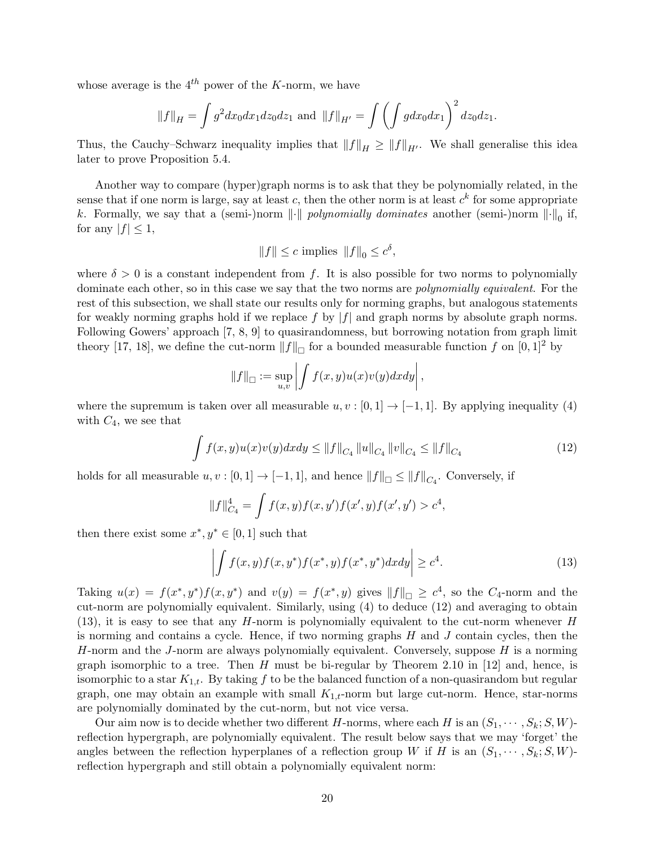whose average is the  $4^{th}$  power of the K-norm, we have

$$
||f||_H = \int g^2 dx_0 dx_1 dz_0 dz_1
$$
 and  $||f||_{H'} = \int \left(\int g dx_0 dx_1\right)^2 dz_0 dz_1$ .

Thus, the Cauchy–Schwarz inequality implies that  $||f||_H \ge ||f||_{H'}$ . We shall generalise this idea later to prove Proposition [5.4.](#page-18-0)

Another way to compare (hyper)graph norms is to ask that they be polynomially related, in the sense that if one norm is large, say at least c, then the other norm is at least  $c^k$  for some appropriate k. Formally, we say that a (semi-)norm  $\|\cdot\|$  polynomially dominates another (semi-)norm  $\|\cdot\|_0$  if, for any  $|f| \leq 1$ ,

$$
||f|| \le c \text{ implies } ||f||_0 \le c^{\delta},
$$

where  $\delta > 0$  is a constant independent from f. It is also possible for two norms to polynomially dominate each other, so in this case we say that the two norms are *polynomially equivalent*. For the rest of this subsection, we shall state our results only for norming graphs, but analogous statements for weakly norming graphs hold if we replace f by  $|f|$  and graph norms by absolute graph norms. Following Gowers' approach [\[7,](#page-27-15) [8,](#page-27-7) [9\]](#page-27-8) to quasirandomness, but borrowing notation from graph limit theory [\[17,](#page-27-0) [18\]](#page-27-2), we define the cut-norm  $||f||_{\Box}$  for a bounded measurable function f on [0, 1]<sup>2</sup> by

<span id="page-19-0"></span>
$$
||f||_{\square} := \sup_{u,v} \left| \int f(x,y)u(x)v(y)dxdy \right|,
$$

where the supremum is taken over all measurable  $u, v : [0, 1] \rightarrow [-1, 1]$ . By applying inequality [\(4\)](#page-2-0) with  $C_4$ , we see that

$$
\int f(x,y)u(x)v(y)dxdy \le ||f||_{C_4} ||u||_{C_4} ||v||_{C_4} \le ||f||_{C_4}
$$
\n(12)

holds for all measurable  $u, v : [0, 1] \to [-1, 1]$ , and hence  $||f||_{\Box} \le ||f||_{C_4}$ . Conversely, if

$$
||f||_{C_4}^4 = \int f(x, y) f(x, y') f(x', y) f(x', y') > c^4,
$$

then there exist some  $x^*, y^* \in [0, 1]$  such that

<span id="page-19-1"></span>
$$
\left| \int f(x,y)f(x,y^*)f(x^*,y)f(x^*,y^*)dxdy \right| \ge c^4. \tag{13}
$$

Taking  $u(x) = f(x^*, y^*) f(x, y^*)$  and  $v(y) = f(x^*, y)$  gives  $||f||_{\Box} \ge c^4$ , so the  $C_4$ -norm and the cut-norm are polynomially equivalent. Similarly, using [\(4\)](#page-2-0) to deduce [\(12\)](#page-19-0) and averaging to obtain  $(13)$ , it is easy to see that any H-norm is polynomially equivalent to the cut-norm whenever H is norming and contains a cycle. Hence, if two norming graphs  $H$  and  $J$  contain cycles, then the H-norm and the J-norm are always polynomially equivalent. Conversely, suppose  $H$  is a norming graph isomorphic to a tree. Then H must be bi-regular by Theorem 2.10 in [\[12\]](#page-27-1) and, hence, is isomorphic to a star  $K_{1,t}$ . By taking f to be the balanced function of a non-quasirandom but regular graph, one may obtain an example with small  $K_{1,t}$ -norm but large cut-norm. Hence, star-norms are polynomially dominated by the cut-norm, but not vice versa.

Our aim now is to decide whether two different H-norms, where each H is an  $(S_1, \dots, S_k; S, W)$ reflection hypergraph, are polynomially equivalent. The result below says that we may 'forget' the angles between the reflection hyperplanes of a reflection group W if H is an  $(S_1, \dots, S_k; S, W)$ reflection hypergraph and still obtain a polynomially equivalent norm: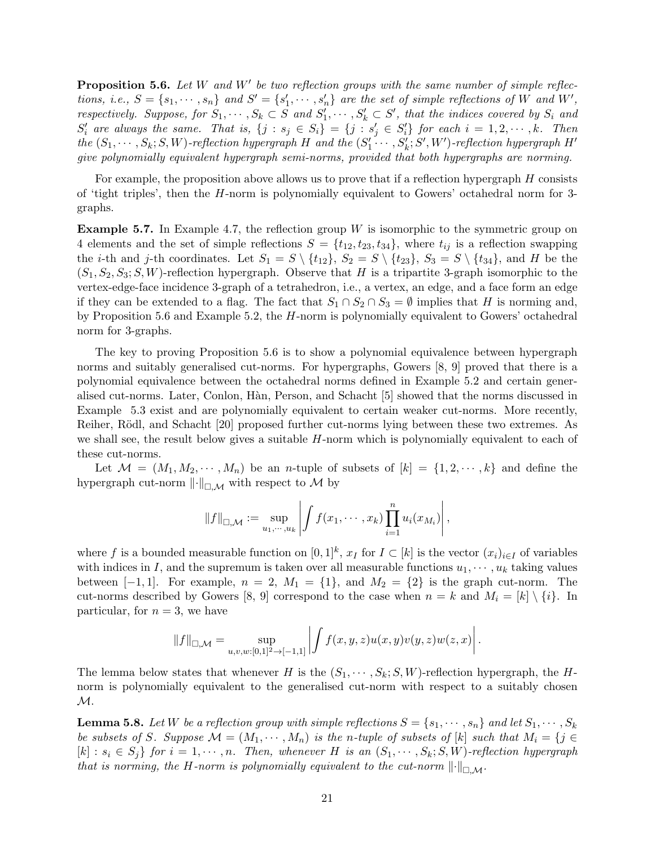<span id="page-20-0"></span>**Proposition 5.6.** Let W and W' be two reflection groups with the same number of simple reflections, i.e.,  $S = \{s_1, \dots, s_n\}$  and  $S' = \{s'_1, \dots, s'_n\}$  are the set of simple reflections of W and W', respectively. Suppose, for  $S_1, \cdots, S_k \subset S$  and  $S'_1, \cdots, S'_k \subset S'$ , that the indices covered by  $S_i$  and  $S_i'$  are always the same. That is,  $\{j : s_j \in S_i\} = \{j : s_j' \in S_i'\}$  for each  $i = 1, 2, \dots, k$ . Then the  $(S_1, \dots, S_k; S, W)$ -reflection hypergraph H and the  $(S'_1, \dots, S'_k; S', W')$ -reflection hypergraph H' give polynomially equivalent hypergraph semi-norms, provided that both hypergraphs are norming.

For example, the proposition above allows us to prove that if a reflection hypergraph  $H$  consists of 'tight triples', then the H-norm is polynomially equivalent to Gowers' octahedral norm for 3 graphs.

<span id="page-20-1"></span>**Example 5.7.** In Example [4.7,](#page-11-0) the reflection group  $W$  is isomorphic to the symmetric group on 4 elements and the set of simple reflections  $S = \{t_{12}, t_{23}, t_{34}\}\,$ , where  $t_{ij}$  is a reflection swapping the *i*-th and *j*-th coordinates. Let  $S_1 = S \setminus \{t_{12}\}, S_2 = S \setminus \{t_{23}\}, S_3 = S \setminus \{t_{34}\},$  and H be the  $(S_1, S_2, S_3; S, W)$ -reflection hypergraph. Observe that H is a tripartite 3-graph isomorphic to the vertex-edge-face incidence 3-graph of a tetrahedron, i.e., a vertex, an edge, and a face form an edge if they can be extended to a flag. The fact that  $S_1 \cap S_2 \cap S_3 = \emptyset$  implies that H is norming and, by Proposition [5.6](#page-20-0) and Example [5.2,](#page-17-1) the H-norm is polynomially equivalent to Gowers' octahedral norm for 3-graphs.

The key to proving Proposition [5.6](#page-20-0) is to show a polynomial equivalence between hypergraph norms and suitably generalised cut-norms. For hypergraphs, Gowers [\[8,](#page-27-7) [9\]](#page-27-8) proved that there is a polynomial equivalence between the octahedral norms defined in Example [5.2](#page-17-1) and certain generalised cut-norms. Later, Conlon, H`an, Person, and Schacht [\[5\]](#page-27-9) showed that the norms discussed in Example [5.3](#page-17-2) exist and are polynomially equivalent to certain weaker cut-norms. More recently, Reiher, Rödl, and Schacht [\[20\]](#page-28-3) proposed further cut-norms lying between these two extremes. As we shall see, the result below gives a suitable  $H$ -norm which is polynomially equivalent to each of these cut-norms.

Let  $\mathcal{M} = (M_1, M_2, \cdots, M_n)$  be an *n*-tuple of subsets of  $[k] = \{1, 2, \cdots, k\}$  and define the hypergraph cut-norm  $\lVert \cdot \rVert_{\Box \mathcal{M}}$  with respect to M by

$$
||f||_{\square,\mathcal{M}} := \sup_{u_1,\dots,u_k} \left| \int f(x_1,\dots,x_k) \prod_{i=1}^n u_i(x_{M_i}) \right|,
$$

where f is a bounded measurable function on  $[0,1]^k$ ,  $x_I$  for  $I \subset [k]$  is the vector  $(x_i)_{i \in I}$  of variables with indices in I, and the supremum is taken over all measurable functions  $u_1, \dots, u_k$  taking values between  $[-1, 1]$ . For example,  $n = 2$ ,  $M_1 = \{1\}$ , and  $M_2 = \{2\}$  is the graph cut-norm. The cut-norms described by Gowers [\[8,](#page-27-7) [9\]](#page-27-8) correspond to the case when  $n = k$  and  $M_i = [k] \setminus \{i\}$ . In particular, for  $n = 3$ , we have

$$
||f||_{\Box,\mathcal{M}} = \sup_{u,v,w:[0,1]^2 \to [-1,1]} \left| \int f(x,y,z)u(x,y)v(y,z)w(z,x) \right|.
$$

The lemma below states that whenever H is the  $(S_1, \dots, S_k; S, W)$ -reflection hypergraph, the Hnorm is polynomially equivalent to the generalised cut-norm with respect to a suitably chosen  $\mathcal{M}.$ 

**Lemma 5.8.** Let W be a reflection group with simple reflections  $S = \{s_1, \dots, s_n\}$  and let  $S_1, \dots, S_k$ be subsets of S. Suppose  $\mathcal{M} = (M_1, \dots, M_n)$  is the n-tuple of subsets of  $[k]$  such that  $M_i = \{j \in$  $[k]: s_i \in S_j$  for  $i = 1, \dots, n$ . Then, whenever H is an  $(S_1, \dots, S_k; S, W)$ -reflection hypergraph that is norming, the H-norm is polynomially equivalent to the cut-norm  $\lVert \cdot \rVert_{\Box M}$ .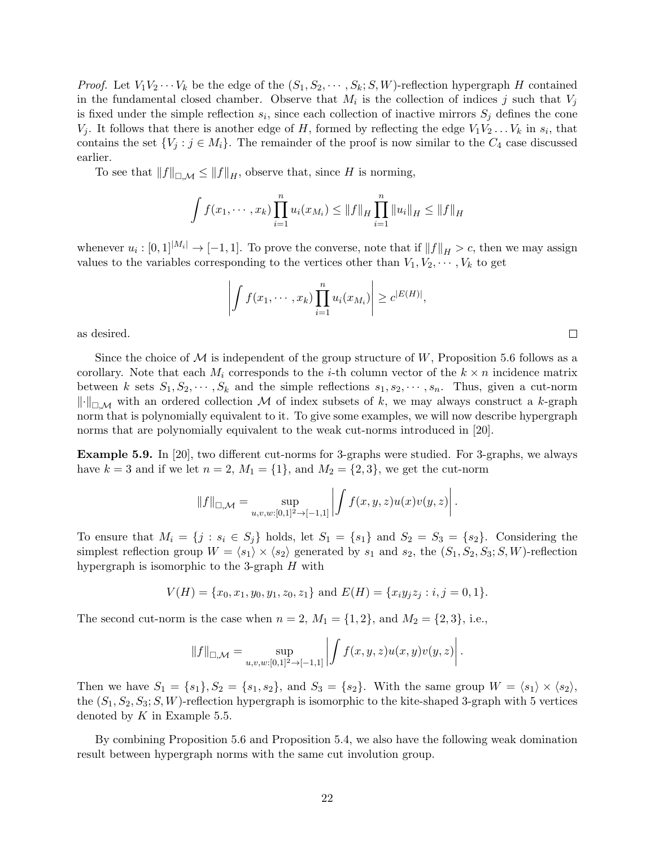*Proof.* Let  $V_1V_2\cdots V_k$  be the edge of the  $(S_1, S_2, \cdots, S_k; S, W)$ -reflection hypergraph H contained in the fundamental closed chamber. Observe that  $M_i$  is the collection of indices j such that  $V_j$ is fixed under the simple reflection  $s_i$ , since each collection of inactive mirrors  $S_j$  defines the cone  $V_j$ . It follows that there is another edge of H, formed by reflecting the edge  $V_1V_2 \ldots V_k$  in  $s_i$ , that contains the set  $\{V_j : j \in M_i\}$ . The remainder of the proof is now similar to the  $C_4$  case discussed earlier.

To see that  $||f||_{\Pi,\mathcal{M}} \leq ||f||_H$ , observe that, since H is norming,

$$
\int f(x_1, \dots, x_k) \prod_{i=1}^n u_i(x_{M_i}) \leq ||f||_H \prod_{i=1}^n ||u_i||_H \leq ||f||_H
$$

whenever  $u_i : [0,1]^{|\mathcal{M}_i|} \to [-1,1]$ . To prove the converse, note that if  $||f||_H > c$ , then we may assign values to the variables corresponding to the vertices other than  $V_1, V_2, \cdots, V_k$  to get

$$
\left| \int f(x_1, \dots, x_k) \prod_{i=1}^n u_i(x_{M_i}) \right| \geq c^{|E(H)|},
$$

 $\Box$ 

as desired.

Since the choice of  $\mathcal M$  is independent of the group structure of  $W$ , Proposition [5.6](#page-20-0) follows as a corollary. Note that each  $M_i$  corresponds to the *i*-th column vector of the  $k \times n$  incidence matrix between k sets  $S_1, S_2, \dots, S_k$  and the simple reflections  $s_1, s_2, \dots, s_n$ . Thus, given a cut-norm  $\lVert \cdot \rVert_{\square \mathcal{M}}$  with an ordered collection M of index subsets of k, we may always construct a k-graph norm that is polynomially equivalent to it. To give some examples, we will now describe hypergraph norms that are polynomially equivalent to the weak cut-norms introduced in [\[20\]](#page-28-3).

Example 5.9. In [\[20\]](#page-28-3), two different cut-norms for 3-graphs were studied. For 3-graphs, we always have  $k = 3$  and if we let  $n = 2$ ,  $M_1 = \{1\}$ , and  $M_2 = \{2, 3\}$ , we get the cut-norm

$$
||f||_{\square,\mathcal{M}} = \sup_{u,v,w:[0,1]^2 \to [-1,1]} \left| \int f(x,y,z) u(x) v(y,z) \right|.
$$

To ensure that  $M_i = \{j : s_i \in S_j\}$  holds, let  $S_1 = \{s_1\}$  and  $S_2 = S_3 = \{s_2\}$ . Considering the simplest reflection group  $W = \langle s_1 \rangle \times \langle s_2 \rangle$  generated by  $s_1$  and  $s_2$ , the  $(S_1, S_2, S_3; S, W)$ -reflection hypergraph is isomorphic to the 3-graph  $H$  with

$$
V(H) = \{x_0, x_1, y_0, y_1, z_0, z_1\} \text{ and } E(H) = \{x_i y_j z_j : i, j = 0, 1\}.
$$

The second cut-norm is the case when  $n = 2$ ,  $M_1 = \{1, 2\}$ , and  $M_2 = \{2, 3\}$ , i.e.,

$$
||f||_{\square,\mathcal{M}} = \sup_{u,v,w:[0,1]^2 \to [-1,1]} \left| \int f(x,y,z) u(x,y) v(y,z) \right|.
$$

Then we have  $S_1 = \{s_1\}, S_2 = \{s_1, s_2\}, \text{ and } S_3 = \{s_2\}.$  With the same group  $W = \langle s_1 \rangle \times \langle s_2 \rangle$ , the  $(S_1, S_2, S_3; S, W)$ -reflection hypergraph is isomorphic to the kite-shaped 3-graph with 5 vertices denoted by  $K$  in Example [5.5.](#page-18-1)

By combining Proposition [5.6](#page-20-0) and Proposition [5.4,](#page-18-0) we also have the following weak domination result between hypergraph norms with the same cut involution group.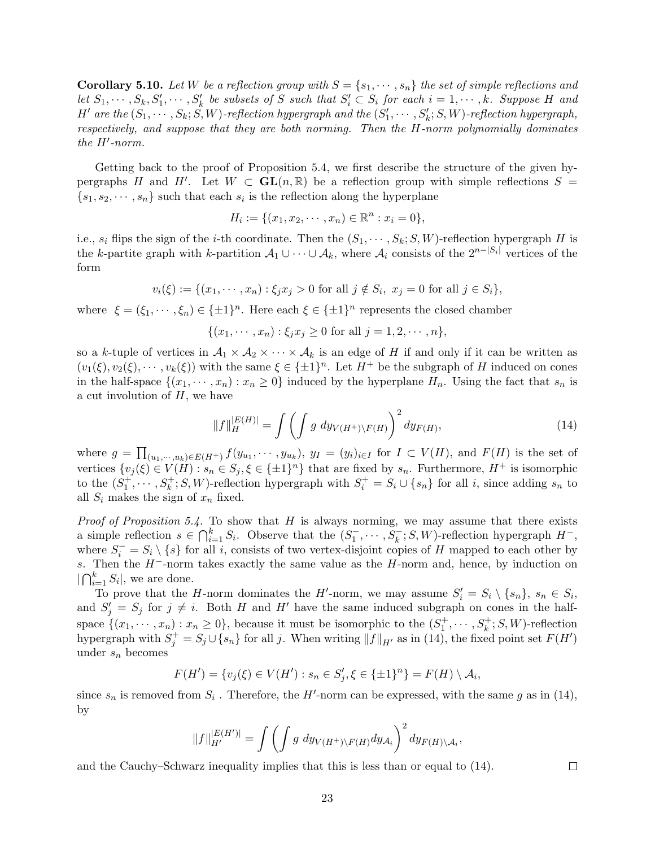**Corollary 5.10.** Let W be a reflection group with  $S = \{s_1, \dots, s_n\}$  the set of simple reflections and let  $S_1, \dots, S_k, S'_1, \dots, S'_k$  be subsets of S such that  $S'_i \subset S_i$  for each  $i = 1, \dots, k$ . Suppose H and  $H'$  are the  $(S_1, \dots, S_k; S, W)$ -reflection hypergraph and the  $(S'_1, \dots, S'_k; S, W)$ -reflection hypergraph, respectively, and suppose that they are both norming. Then the H-norm polynomially dominates the  $H'$ -norm.

Getting back to the proof of Proposition [5.4,](#page-18-0) we first describe the structure of the given hypergraphs H and H'. Let  $W \subset GL(n, \mathbb{R})$  be a reflection group with simple reflections  $S =$  ${s_1, s_2, \dots, s_n}$  such that each  $s_i$  is the reflection along the hyperplane

$$
H_i := \{ (x_1, x_2, \cdots, x_n) \in \mathbb{R}^n : x_i = 0 \},
$$

i.e.,  $s_i$  flips the sign of the *i*-th coordinate. Then the  $(S_1, \dots, S_k; S, W)$ -reflection hypergraph H is the k-partite graph with k-partition  $\mathcal{A}_1 \cup \cdots \cup \mathcal{A}_k$ , where  $\mathcal{A}_i$  consists of the  $2^{n-|S_i|}$  vertices of the form

$$
v_i(\xi) := \{(x_1, \dots, x_n) : \xi_j x_j > 0 \text{ for all } j \notin S_i, x_j = 0 \text{ for all } j \in S_i\},\
$$

where  $\xi = (\xi_1, \dots, \xi_n) \in {\pm 1}^n$ . Here each  $\xi \in {\pm 1}^n$  represents the closed chamber

 $\{(x_1, \dots, x_n) : \xi_j x_j \geq 0 \text{ for all } j = 1, 2, \dots, n\},\$ 

so a k-tuple of vertices in  $A_1 \times A_2 \times \cdots \times A_k$  is an edge of H if and only if it can be written as  $(v_1(\xi), v_2(\xi), \dots, v_k(\xi))$  with the same  $\xi \in {\pm 1}^n$ . Let  $H^+$  be the subgraph of H induced on cones in the half-space  $\{(x_1, \dots, x_n) : x_n \geq 0\}$  induced by the hyperplane  $H_n$ . Using the fact that  $s_n$  is a cut involution of  $H$ , we have

$$
||f||_H^{|E(H)|} = \int \left( \int g \, dy_{V(H^+)\backslash F(H)} \right)^2 dy_{F(H)}, \tag{14}
$$

<span id="page-22-0"></span>,

 $\Box$ 

where  $g = \prod_{(u_1,\dots,u_k)\in E(H^+)} f(y_{u_1},\dots,y_{u_k}), y_I = (y_i)_{i\in I}$  for  $I \subset V(H)$ , and  $F(H)$  is the set of vertices  $\{v_j(\xi) \in V(H) : s_n \in S_j, \xi \in \{\pm 1\}^n\}$  that are fixed by  $s_n$ . Furthermore,  $H^+$  is isomorphic to the  $(S_1^+,\dots, S_k^+; S, W)$ -reflection hypergraph with  $S_i^+ = S_i \cup \{s_n\}$  for all i, since adding  $s_n$  to all  $S_i$  makes the sign of  $x_n$  fixed.

*Proof of Proposition [5.4.](#page-18-0)* To show that H is always norming, we may assume that there exists a simple reflection  $s \in \bigcap_{i=1}^k S_i$ . Observe that the  $(S_1^-,\dots, S_k^-, S, W)$ -reflection hypergraph  $H^-$ , where  $S_i^- = S_i \setminus \{s\}$  for all i, consists of two vertex-disjoint copies of H mapped to each other by s. Then the  $H^-$ -norm takes exactly the same value as the  $H$ -norm and, hence, by induction on  $\bigcap_{i=1}^k S_i$ , we are done.

To prove that the H-norm dominates the H'-norm, we may assume  $S_i' = S_i \setminus \{s_n\}, s_n \in S_i$ , and  $S'_j = S_j$  for  $j \neq i$ . Both H and H' have the same induced subgraph on cones in the halfspace  $\{(x_1, \dots, x_n) : x_n \ge 0\}$ , because it must be isomorphic to the  $(S_1^+, \dots, S_k^+; S, W)$ -reflection hypergraph with  $S_j^+ = S_j \cup \{s_n\}$  for all j. When writing  $||f||_{H'}$  as in [\(14\)](#page-22-0), the fixed point set  $F(H')$ under  $s_n$  becomes

$$
F(H') = \{v_j(\xi) \in V(H') : s_n \in S'_j, \xi \in \{\pm 1\}^n\} = F(H) \setminus \mathcal{A}_i,
$$

since  $s_n$  is removed from  $S_i$ . Therefore, the H'-norm can be expressed, with the same g as in [\(14\)](#page-22-0), by

$$
||f||_{H'}^{|E(H')|} = \int \left( \int g \, dy_{V(H^+)\backslash F(H)} dy_{\mathcal{A}_i} \right)^2 dy_{F(H)\backslash \mathcal{A}_i}
$$

and the Cauchy–Schwarz inequality implies that this is less than or equal to [\(14\)](#page-22-0).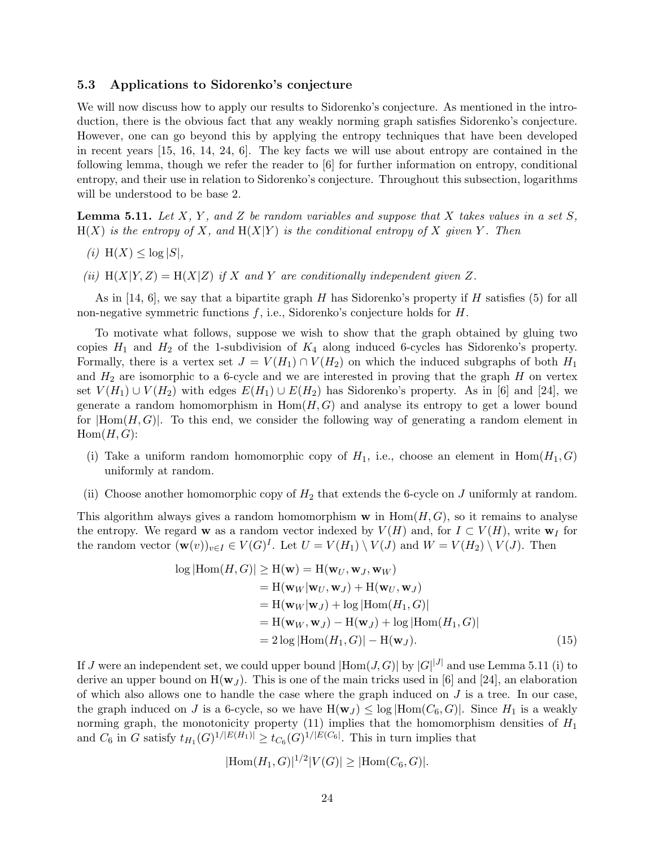### <span id="page-23-0"></span>5.3 Applications to Sidorenko's conjecture

We will now discuss how to apply our results to Sidorenko's conjecture. As mentioned in the introduction, there is the obvious fact that any weakly norming graph satisfies Sidorenko's conjecture. However, one can go beyond this by applying the entropy techniques that have been developed in recent years [\[15,](#page-27-16) [16,](#page-27-6) [14,](#page-27-5) [24,](#page-28-2) [6\]](#page-27-4). The key facts we will use about entropy are contained in the following lemma, though we refer the reader to [\[6\]](#page-27-4) for further information on entropy, conditional entropy, and their use in relation to Sidorenko's conjecture. Throughout this subsection, logarithms will be understood to be base 2.

<span id="page-23-1"></span>**Lemma 5.11.** Let X, Y, and Z be random variables and suppose that X takes values in a set S,  $H(X)$  is the entropy of X, and  $H(X|Y)$  is the conditional entropy of X given Y. Then

$$
(i) \ \mathcal{H}(X) \le \log |S|,
$$

(ii)  $H(X|Y, Z) = H(X|Z)$  if X and Y are conditionally independent given Z.

As in [\[14,](#page-27-5) [6\]](#page-27-4), we say that a bipartite graph H has Sidorenko's property if H satisfies [\(5\)](#page-2-2) for all non-negative symmetric functions  $f$ , i.e., Sidorenko's conjecture holds for  $H$ .

To motivate what follows, suppose we wish to show that the graph obtained by gluing two copies  $H_1$  and  $H_2$  of the 1-subdivision of  $K_4$  along induced 6-cycles has Sidorenko's property. Formally, there is a vertex set  $J = V(H_1) \cap V(H_2)$  on which the induced subgraphs of both  $H_1$ and  $H_2$  are isomorphic to a 6-cycle and we are interested in proving that the graph  $H$  on vertex set  $V(H_1) \cup V(H_2)$  with edges  $E(H_1) \cup E(H_2)$  has Sidorenko's property. As in [\[6\]](#page-27-4) and [\[24\]](#page-28-2), we generate a random homomorphism in  $Hom(H, G)$  and analyse its entropy to get a lower bound for  $|Hom(H, G)|$ . To this end, we consider the following way of generating a random element in  $Hom(H, G)$ :

- (i) Take a uniform random homomorphic copy of  $H_1$ , i.e., choose an element in  $Hom(H_1, G)$ uniformly at random.
- (ii) Choose another homomorphic copy of  $H_2$  that extends the 6-cycle on J uniformly at random.

This algorithm always gives a random homomorphism  $w$  in  $Hom(H, G)$ , so it remains to analyse the entropy. We regard w as a random vector indexed by  $V(H)$  and, for  $I \subset V(H)$ , write  $\mathbf{w}_I$  for the random vector  $(\mathbf{w}(v))_{v\in I} \in V(G)^{I}$ . Let  $U = V(H_1) \setminus V(J)$  and  $W = V(H_2) \setminus V(J)$ . Then

$$
\log |\text{Hom}(H, G)| \ge \text{H}(\mathbf{w}) = \text{H}(\mathbf{w}_U, \mathbf{w}_J, \mathbf{w}_W)
$$
  
\n
$$
= \text{H}(\mathbf{w}_W | \mathbf{w}_U, \mathbf{w}_J) + \text{H}(\mathbf{w}_U, \mathbf{w}_J)
$$
  
\n
$$
= \text{H}(\mathbf{w}_W | \mathbf{w}_J) + \log |\text{Hom}(H_1, G)|
$$
  
\n
$$
= \text{H}(\mathbf{w}_W, \mathbf{w}_J) - \text{H}(\mathbf{w}_J) + \log |\text{Hom}(H_1, G)|
$$
  
\n
$$
= 2 \log |\text{Hom}(H_1, G)| - \text{H}(\mathbf{w}_J).
$$
 (15)

If J were an independent set, we could upper bound  $|\text{Hom}(J, G)|$  by  $|G|^{|J|}$  and use Lemma [5.11](#page-23-1) (i) to derive an upper bound on  $H(\mathbf{w}_J)$ . This is one of the main tricks used in [\[6\]](#page-27-4) and [\[24\]](#page-28-2), an elaboration of which also allows one to handle the case where the graph induced on  $J$  is a tree. In our case, the graph induced on J is a 6-cycle, so we have  $H(\mathbf{w}_J) \leq \log |Hom(C_6, G)|$ . Since  $H_1$  is a weakly norming graph, the monotonicity property [\(11\)](#page-17-3) implies that the homomorphism densities of  $H_1$ and  $C_6$  in G satisfy  $t_{H_1}(G)^{1/|E(H_1)|} \ge t_{C_6}(G)^{1/|E(C_6|)}$ . This in turn implies that

<span id="page-23-2"></span>
$$
|\mathrm{Hom}(H_1, G)|^{1/2}|V(G)| \geq |\mathrm{Hom}(C_6, G)|.
$$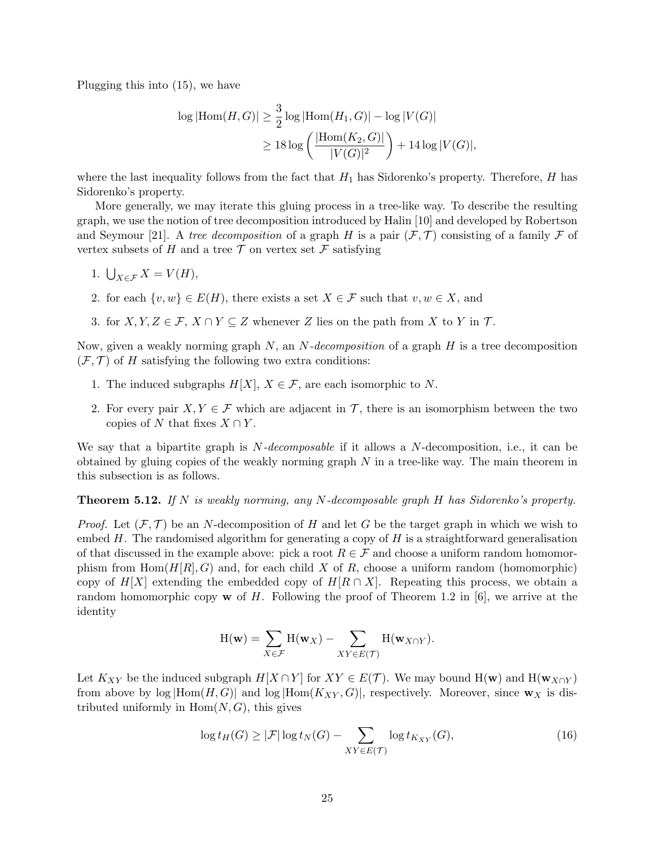Plugging this into [\(15\)](#page-23-2), we have

$$
\log |\text{Hom}(H, G)| \ge \frac{3}{2} \log |\text{Hom}(H_1, G)| - \log |V(G)|
$$
  
 
$$
\ge 18 \log \left( \frac{|\text{Hom}(K_2, G)|}{|V(G)|^2} \right) + 14 \log |V(G)|,
$$

where the last inequality follows from the fact that  $H_1$  has Sidorenko's property. Therefore, H has Sidorenko's property.

More generally, we may iterate this gluing process in a tree-like way. To describe the resulting graph, we use the notion of tree decomposition introduced by Halin [\[10\]](#page-27-17) and developed by Robertson and Seymour [\[21\]](#page-28-4). A tree decomposition of a graph H is a pair  $(\mathcal{F}, \mathcal{T})$  consisting of a family F of vertex subsets of H and a tree  $\mathcal T$  on vertex set  $\mathcal F$  satisfying

- 1.  $\bigcup_{X \in \mathcal{F}} X = V(H),$
- 2. for each  $\{v, w\} \in E(H)$ , there exists a set  $X \in \mathcal{F}$  such that  $v, w \in X$ , and
- 3. for  $X, Y, Z \in \mathcal{F}, X \cap Y \subseteq Z$  whenever Z lies on the path from X to Y in T.

Now, given a weakly norming graph  $N$ , an  $N$ -decomposition of a graph  $H$  is a tree decomposition  $(F, \mathcal{T})$  of H satisfying the following two extra conditions:

- 1. The induced subgraphs  $H[X], X \in \mathcal{F}$ , are each isomorphic to N.
- 2. For every pair  $X, Y \in \mathcal{F}$  which are adjacent in  $\mathcal{T}$ , there is an isomorphism between the two copies of N that fixes  $X \cap Y$ .

We say that a bipartite graph is  $N-decomposable$  if it allows a  $N$ -decomposition, i.e., it can be obtained by gluing copies of the weakly norming graph  $N$  in a tree-like way. The main theorem in this subsection is as follows.

**Theorem 5.12.** If N is weakly norming, any N-decomposable graph H has Sidorenko's property.

*Proof.* Let  $(\mathcal{F}, \mathcal{T})$  be an N-decomposition of H and let G be the target graph in which we wish to embed  $H$ . The randomised algorithm for generating a copy of  $H$  is a straightforward generalisation of that discussed in the example above: pick a root  $R \in \mathcal{F}$  and choose a uniform random homomorphism from  $\text{Hom}(H[R], G)$  and, for each child X of R, choose a uniform random (homomorphic) copy of  $H[X]$  extending the embedded copy of  $H[R \cap X]$ . Repeating this process, we obtain a random homomorphic copy **w** of H. Following the proof of Theorem 1.2 in [\[6\]](#page-27-4), we arrive at the identity

<span id="page-24-0"></span>
$$
H(\mathbf{w}) = \sum_{X \in \mathcal{F}} H(\mathbf{w}_X) - \sum_{XY \in E(\mathcal{T})} H(\mathbf{w}_{X \cap Y}).
$$

Let  $K_{XY}$  be the induced subgraph  $H[X \cap Y]$  for  $XY \in E(\mathcal{T})$ . We may bound  $H(\mathbf{w})$  and  $H(\mathbf{w}_{X \cap Y})$ from above by  $\log |Hom(H, G)|$  and  $\log |Hom(K_{XY}, G)|$ , respectively. Moreover, since  $w_X$  is distributed uniformly in  $Hom(N, G)$ , this gives

$$
\log t_H(G) \ge |\mathcal{F}| \log t_N(G) - \sum_{XY \in E(\mathcal{T})} \log t_{K_{XY}}(G),\tag{16}
$$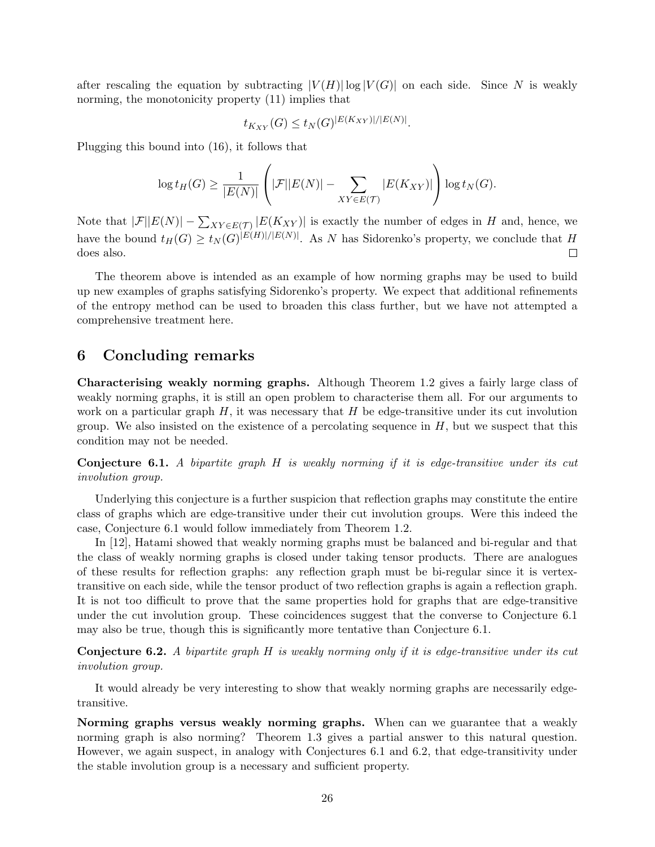after rescaling the equation by subtracting  $|V(H)| \log |V(G)|$  on each side. Since N is weakly norming, the monotonicity property [\(11\)](#page-17-3) implies that

$$
t_{K_{XY}}(G) \le t_N(G)^{|E(K_{XY})|/|E(N)|}.
$$

Plugging this bound into [\(16\)](#page-24-0), it follows that

$$
\log t_H(G) \ge \frac{1}{|E(N)|} \left( |\mathcal{F}| |E(N)| - \sum_{XY \in E(\mathcal{T})} |E(K_{XY})| \right) \log t_N(G).
$$

Note that  $|\mathcal{F}||E(N)| - \sum_{XY \in E(\mathcal{T})} |E(K_{XY})|$  is exactly the number of edges in H and, hence, we have the bound  $t_H(G) \ge t_N(G)^{|E(H)|/|E(N)|}$ . As N has Sidorenko's property, we conclude that H does also.  $\Box$ 

The theorem above is intended as an example of how norming graphs may be used to build up new examples of graphs satisfying Sidorenko's property. We expect that additional refinements of the entropy method can be used to broaden this class further, but we have not attempted a comprehensive treatment here.

### 6 Concluding remarks

Characterising weakly norming graphs. Although Theorem [1.2](#page-1-2) gives a fairly large class of weakly norming graphs, it is still an open problem to characterise them all. For our arguments to work on a particular graph  $H$ , it was necessary that  $H$  be edge-transitive under its cut involution group. We also insisted on the existence of a percolating sequence in  $H$ , but we suspect that this condition may not be needed.

<span id="page-25-0"></span>Conjecture 6.1. A bipartite graph H is weakly norming if it is edge-transitive under its cut involution group.

Underlying this conjecture is a further suspicion that reflection graphs may constitute the entire class of graphs which are edge-transitive under their cut involution groups. Were this indeed the case, Conjecture [6.1](#page-25-0) would follow immediately from Theorem [1.2.](#page-1-2)

In [\[12\]](#page-27-1), Hatami showed that weakly norming graphs must be balanced and bi-regular and that the class of weakly norming graphs is closed under taking tensor products. There are analogues of these results for reflection graphs: any reflection graph must be bi-regular since it is vertextransitive on each side, while the tensor product of two reflection graphs is again a reflection graph. It is not too difficult to prove that the same properties hold for graphs that are edge-transitive under the cut involution group. These coincidences suggest that the converse to Conjecture [6.1](#page-25-0) may also be true, though this is significantly more tentative than Conjecture [6.1.](#page-25-0)

<span id="page-25-1"></span>Conjecture 6.2. A bipartite graph H is weakly norming only if it is edge-transitive under its cut involution group.

It would already be very interesting to show that weakly norming graphs are necessarily edgetransitive.

Norming graphs versus weakly norming graphs. When can we guarantee that a weakly norming graph is also norming? Theorem [1.3](#page-2-3) gives a partial answer to this natural question. However, we again suspect, in analogy with Conjectures [6.1](#page-25-0) and [6.2,](#page-25-1) that edge-transitivity under the stable involution group is a necessary and sufficient property.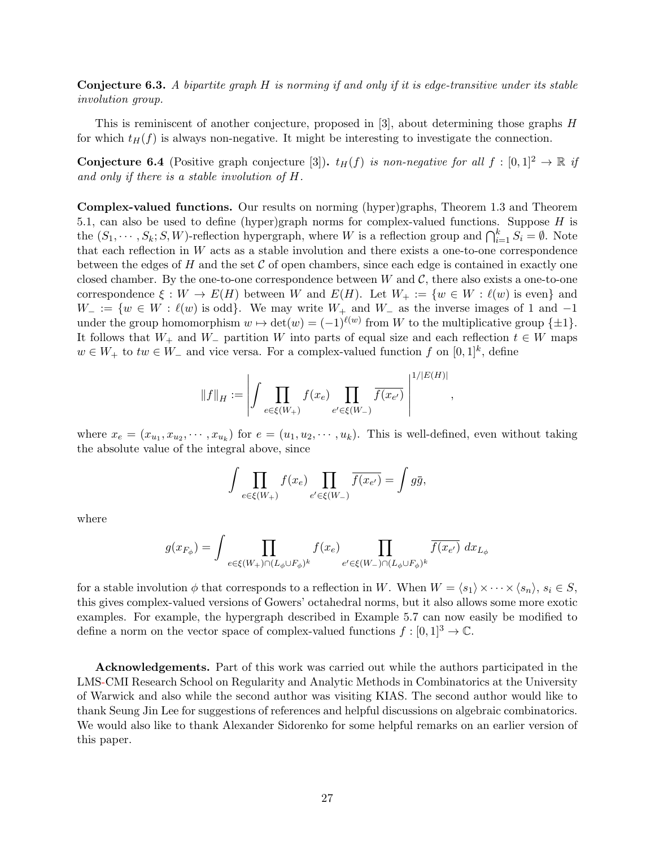**Conjecture 6.3.** A bipartite graph  $H$  is norming if and only if it is edge-transitive under its stable involution group.

This is reminiscent of another conjecture, proposed in [\[3\]](#page-27-18), about determining those graphs H for which  $t_H(f)$  is always non-negative. It might be interesting to investigate the connection.

**Conjecture 6.4** (Positive graph conjecture [\[3\]](#page-27-18)).  $t_H(f)$  is non-negative for all  $f : [0,1]^2 \to \mathbb{R}$  if and only if there is a stable involution of H.

Complex-valued functions. Our results on norming (hyper)graphs, Theorem [1.3](#page-2-3) and Theorem [5.1,](#page-17-0) can also be used to define (hyper)graph norms for complex-valued functions. Suppose  $H$  is the  $(S_1, \dots, S_k; S, W)$ -reflection hypergraph, where W is a reflection group and  $\bigcap_{i=1}^k S_i = \emptyset$ . Note that each reflection in W acts as a stable involution and there exists a one-to-one correspondence between the edges of  $H$  and the set  $C$  of open chambers, since each edge is contained in exactly one closed chamber. By the one-to-one correspondence between  $W$  and  $\mathcal{C}$ , there also exists a one-to-one correspondence  $\xi : W \to E(H)$  between W and  $E(H)$ . Let  $W_+ := \{w \in W : \ell(w)$  is even} and  $W_- := \{w \in W : \ell(w) \text{ is odd}\}.$  We may write  $W_+$  and  $W_-$  as the inverse images of 1 and  $-1$ under the group homomorphism  $w \mapsto \det(w) = (-1)^{\ell(w)}$  from W to the multiplicative group  $\{\pm 1\}$ . It follows that  $W_+$  and  $W_-\$  partition W into parts of equal size and each reflection  $t \in W$  maps  $w \in W_+$  to  $tw \in W_-$  and vice versa. For a complex-valued function f on  $[0,1]^k$ , define

$$
\|f\|_H := \left| \int \prod_{e \in \xi(W_+)} f(x_e) \prod_{e' \in \xi(W_-)} \overline{f(x_{e'})} \; \right|^{1/|E(H)|}
$$

,

where  $x_e = (x_{u_1}, x_{u_2}, \dots, x_{u_k})$  for  $e = (u_1, u_2, \dots, u_k)$ . This is well-defined, even without taking the absolute value of the integral above, since

$$
\int \prod_{e \in \xi(W_+)} f(x_e) \prod_{e' \in \xi(W_-)} \overline{f(x_{e'})} = \int g\overline{g},
$$

where

$$
g(x_{F_{\phi}}) = \int \prod_{e \in \xi(W_+) \cap (L_{\phi} \cup F_{\phi})^k} f(x_e) \prod_{e' \in \xi(W_-) \cap (L_{\phi} \cup F_{\phi})^k} \overline{f(x_{e'})} dx_{L_{\phi}}
$$

for a stable involution  $\phi$  that corresponds to a reflection in W. When  $W = \langle s_1 \rangle \times \cdots \times \langle s_n \rangle$ ,  $s_i \in S$ , this gives complex-valued versions of Gowers' octahedral norms, but it also allows some more exotic examples. For example, the hypergraph described in Example [5.7](#page-20-1) can now easily be modified to define a norm on the vector space of complex-valued functions  $f : [0, 1]^3 \to \mathbb{C}$ .

Acknowledgements. Part of this work was carried out while the authors participated in the LMS-CMI Research School on Regularity and Analytic Methods in Combinatorics at the University of Warwick and also while the second author was visiting KIAS. The second author would like to thank Seung Jin Lee for suggestions of references and helpful discussions on algebraic combinatorics. We would also like to thank Alexander Sidorenko for some helpful remarks on an earlier version of this paper.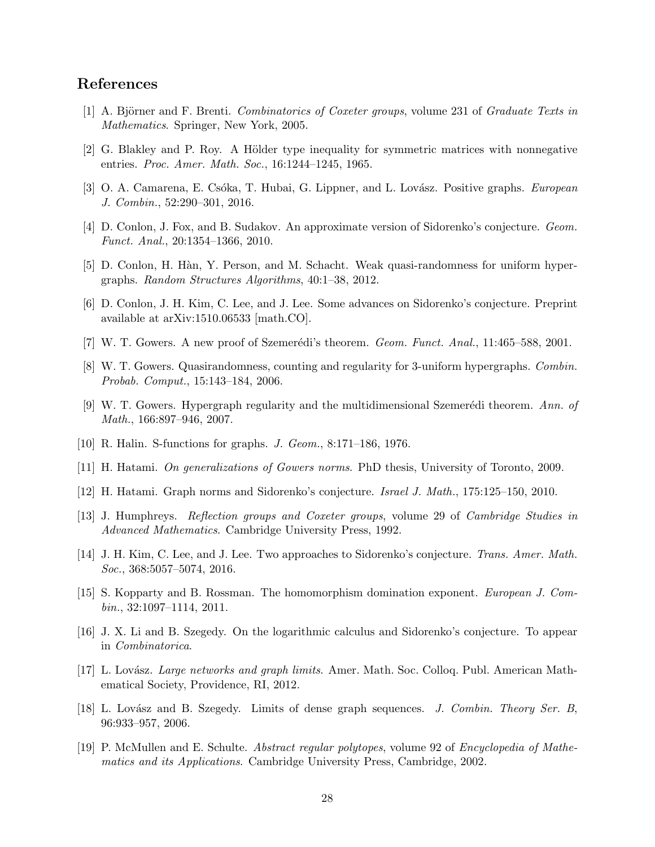# References

- <span id="page-27-11"></span>[1] A. Björner and F. Brenti. Combinatorics of Coxeter groups, volume 231 of Graduate Texts in Mathematics. Springer, New York, 2005.
- <span id="page-27-10"></span> $[2]$  G. Blakley and P. Roy. A Hölder type inequality for symmetric matrices with nonnegative entries. Proc. Amer. Math. Soc., 16:1244–1245, 1965.
- <span id="page-27-18"></span>[3] O. A. Camarena, E. Csóka, T. Hubai, G. Lippner, and L. Lovász. Positive graphs. *European* J. Combin., 52:290–301, 2016.
- <span id="page-27-3"></span>[4] D. Conlon, J. Fox, and B. Sudakov. An approximate version of Sidorenko's conjecture. Geom. Funct. Anal., 20:1354–1366, 2010.
- <span id="page-27-9"></span>[5] D. Conlon, H. Hàn, Y. Person, and M. Schacht. Weak quasi-randomness for uniform hypergraphs. Random Structures Algorithms, 40:1–38, 2012.
- <span id="page-27-4"></span>[6] D. Conlon, J. H. Kim, C. Lee, and J. Lee. Some advances on Sidorenko's conjecture. Preprint available at arXiv:1510.06533 [math.CO].
- <span id="page-27-15"></span>[7] W. T. Gowers. A new proof of Szemerédi's theorem. Geom. Funct. Anal.,  $11:465-588$ ,  $2001$ .
- <span id="page-27-7"></span>[8] W. T. Gowers. Quasirandomness, counting and regularity for 3-uniform hypergraphs. Combin. Probab. Comput., 15:143–184, 2006.
- <span id="page-27-8"></span>[9] W. T. Gowers. Hypergraph regularity and the multidimensional Szemerédi theorem. Ann. of Math., 166:897–946, 2007.
- <span id="page-27-17"></span>[10] R. Halin. S-functions for graphs. J. Geom., 8:171–186, 1976.
- <span id="page-27-14"></span>[11] H. Hatami. On generalizations of Gowers norms. PhD thesis, University of Toronto, 2009.
- <span id="page-27-1"></span>[12] H. Hatami. Graph norms and Sidorenko's conjecture. Israel J. Math., 175:125–150, 2010.
- <span id="page-27-12"></span>[13] J. Humphreys. Reflection groups and Coxeter groups, volume 29 of Cambridge Studies in Advanced Mathematics. Cambridge University Press, 1992.
- <span id="page-27-5"></span>[14] J. H. Kim, C. Lee, and J. Lee. Two approaches to Sidorenko's conjecture. Trans. Amer. Math. Soc., 368:5057–5074, 2016.
- <span id="page-27-16"></span>[15] S. Kopparty and B. Rossman. The homomorphism domination exponent. European J. Combin., 32:1097–1114, 2011.
- <span id="page-27-6"></span>[16] J. X. Li and B. Szegedy. On the logarithmic calculus and Sidorenko's conjecture. To appear in Combinatorica.
- <span id="page-27-0"></span>[17] L. Lovász. *Large networks and graph limits.* Amer. Math. Soc. Colloq. Publ. American Mathematical Society, Providence, RI, 2012.
- <span id="page-27-2"></span>[18] L. Lovász and B. Szegedy. Limits of dense graph sequences. J. Combin. Theory Ser. B, 96:933–957, 2006.
- <span id="page-27-13"></span>[19] P. McMullen and E. Schulte. Abstract regular polytopes, volume 92 of Encyclopedia of Mathematics and its Applications. Cambridge University Press, Cambridge, 2002.